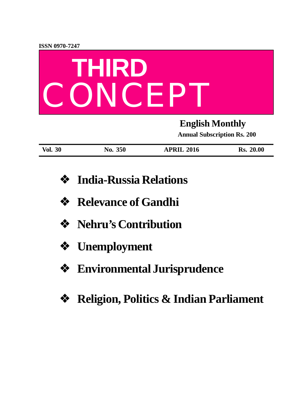

- **❖ India-Russia Relations**
- **❖ Relevance of Gandhi**
- **❖ Nehru's Contribution**
- **❖ Unemployment**
- **❖ Environmental Jurisprudence**
- **❖ Religion, Politics & Indian Parliament**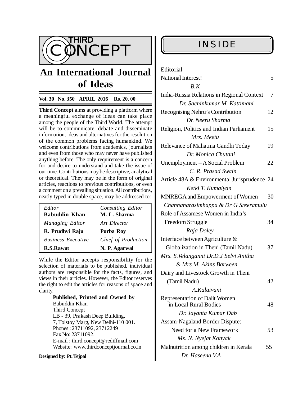

# **An International Journal of Ideas**

#### **Vol. 30 No. 350 APRIL 2016 Rs. 20. 00**

**Third Concept** aims at providing a platform where a meaningful exchange of ideas can take place among the people of the Third World. The attempt will be to communicate, debate and disseminate information, ideas and alternatives for the resolution of the common problems facing humankind. We welcome contributions from academics, journalists and even from those who may never have published anything before. The only requirement is a concern for and desire to understand and take the issue of our time. Contributions may be descriptive, analytical or theoretical. They may be in the form of original articles, reactions to previous contributions, or even a comment on a prevailing situation. All contributions, neatly typed in double space, may be addressed to:

| Editor                    | Consulting Editor   |
|---------------------------|---------------------|
| <b>Babuddin Khan</b>      | M. L. Sharma        |
| Managing Editor           | Art Director        |
| R. Prudhvi Raju           | Purba Roy           |
| <b>Business Executive</b> | Chief of Production |
| R.S.Rawat                 | N. P. Agarwal       |

While the Editor accepts responsibility for the selection of materials to be published, individual authors are responsible for the facts, figures, and views in their articles. However, the Editor reserves the right to edit the articles for reasons of space and clarity.

> **Published, Printed and Owned by** Babuddin Khan Third Concept LB - 39, Prakash Deep Building, 7, Tolstoy Marg, New Delhi-110 001. Phones : 23711092, 23712249 Fax No: 23711092. E-mail : [third.concept@rediffmail.com](mailto:third.concept@rediffmail.com) Website: [www.thirdconceptjournal.co.in](http://www.thirdconceptjournal.co.in)

**Designed by**: **Pt. Tejpal**

## **INSIDE**

| Editorial                                    |    |
|----------------------------------------------|----|
| <b>National Interest!</b>                    | 5  |
| B.K                                          |    |
| India-Russia Relations in Regional Context   | 7  |
| Dr. Sachinkumar M. Kattimani                 |    |
| Recognising Nehru's Contribution             | 12 |
| Dr. Neeru Sharma                             |    |
| Religion, Politics and Indian Parliament     | 15 |
| Mrs. Meetu                                   |    |
| Relevance of Mahatma Gandhi Today            | 19 |
| Dr. Monica Chutani                           |    |
| Unemployment - A Social Problem              | 22 |
| C. R. Prasad Swain                           |    |
| Article 48A & Environmental Jurisprudence 24 |    |
| Ketki T. Kumaiyan                            |    |
| MNREGA and Empowerment of Women              | 30 |
| Channanarasimhappa & Dr G Sreeramulu         |    |
| Role of Assamese Women in India's            |    |
| Freedom Struggle                             | 34 |
| Raja Doley                                   |    |
| Interface between Agriculture &              |    |
| Globalization in Theni (Tamil Nadu)          | 37 |
| Mrs. S. Velanganni Dr.D.J Selvi Anitha       |    |
| & Mrs M. Akins Barween                       |    |
| Dairy and Livestock Growth in Theni          |    |
| (Tamil Nadu)                                 | 42 |
| A.Kalaivani                                  |    |
| <b>Representation of Dalit Women</b>         |    |
| in Local Rural Bodies                        | 48 |
| Dr. Jayanta Kumar Dab                        |    |
| <b>Assam-Nagaland Border Dispute:</b>        |    |
| Need for a New Framework                     | 53 |
| Ms. N. Nyejat Konyak                         |    |
| Malnutrition among children in Kerala        | 55 |
| Dr. Haseena V.A                              |    |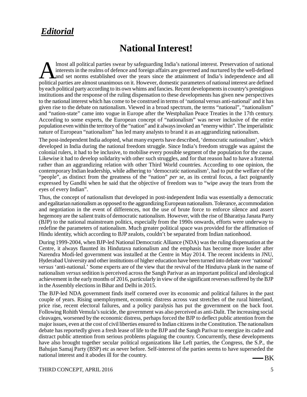## *Editorial*

# **National Interest!**

Imost all political parties swear by safeguarding India's national interest. Preservation of national interests in the realms of defence and foreign affairs are governed and nurtured by the well-defined and set norms estab lmost all political parties swear by safeguarding India's national interest. Preservation of national interests in the realms of defence and foreign affairs are governed and nurtured by the well-defined and set norms established over the years since the attainment of India's independence and all by each political party according to its own whims and fancies. Recent developments in country's prestigious institutions and the response of the ruling dispensation to these developments has given new perspectives to the national interest which has come to be construed in terms of 'national versus anti-national' and it has given rise to the debate on nationalism. Viewed in a broad spectrum, the terms "national", "nationalism" and "nation-state" came into vogue in Europe after the Westphalian Peace Treaties in the 17th century. According to some experts, the European concept of "nationalism" was never inclusive of the entire population even within the territory of the "nation" and it always invoked an "enemy within". The imperialistic nature of European "nationalism" has led many analysts to brand it as an aggrandizing nationalism.

The post-independent India adopted, what many experts have described, 'democratic nationalism', which developed in India during the national freedom struggle. Since India's freedom struggle was against the colonial rulers, it had to be inclusive, to mobilise every possible segment of the population for the cause. Likewise it had to develop solidarity with other such struggles, and for that reason had to have a fraternal rather than an aggrandizing relation with other Third World countries. According to one opinion, the contemporary Indian leadership, while adhering to 'democratic nationalism', had to put the welfare of the "people", as distinct from the greatness of the "nation" *per se*, as its central focus, a fact poignantly expressed by Gandhi when he said that the objective of freedom was to "wipe away the tears from the eyes of every Indian".

Thus, the concept of nationalism that developed in post-independent India was essentially a democratic and egalitarian nationalism as opposed to the aggrandizing European nationalism. Tolerance, accommodation and negotiation in the event of differences, not the use of brute force to enforce silence and assert hegemony are the salient traits of democratic nationalism. However, with the rise of Bharatiya Janata Party (BJP) to the national mainstream politics, especially from the 1990s onwards, efforts were underway to redefine the parameters of nationalism. Much greater political space was provided for the affirmation of Hindu identity, which according to BJP zealots, couldn't be separated from Indian nationhood.

During 1999-2004, when BJP-led National Democratic Alliance (NDA) was the ruling dispensation at the Centre, it always flaunted its Hindutava nationalism and the emphasis has become more louder after Narendra Modi-led government was installed at the Centre in May 2014. The recent incidents in JNU, Hyderabad University and other institutions of higher education have been turned into debate over 'national' *versus* 'anti-national.' Some experts are of the view that the revival of the Hindutva plank in the name of nationalism *versus* sedition is perceived across the Sangh Parivar as an important political and ideological achievement in the early months of 2016, particularly in view of the significant reverses suffered by the BJP in the Assembly elections in Bihar and Delhi in 2015.

The BJP-led NDA government finds itself cornered over its economic and political failures in the past couple of years. Rising unemployment, economic distress across vast stretches of the rural hinterland, price rise, recent electoral failures, and a policy paralysis has put the government on the back foot. Following Rohith Vemula's suicide, the government was also perceived as anti-Dalit. The increasing social cleavages, worsened by the economic distress, perhaps forced the BJP to deflect public attention from the major issues, even at the cost of civil liberties ensured to Indian citizens in the Constitution. The nationalism debate has reportedly given a fresh lease of life to the BJP and the Sangh Parivar to energize its cadre and distract public attention from serious problems plaguing the country. Concurrently, these developments have also brought together secular political organizations like Left parties, the Congress, the S.P., the Bahujan Samaj Party (BSP) etc as never before. Self-interest of the parties seems to have superseded the national interest and it abodes ill for the country.

-BK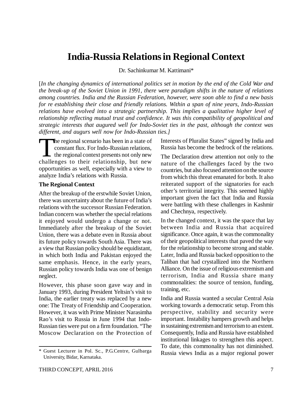## **India-Russia Relations in Regional Context**

Dr. Sachinkumar M. Kattimani\*

[*In the changing dynamics of international politics set in motion by the end of the Cold War and the break-up of the Soviet Union in 1991, there were paradigm shifts in the nature of relations among countries. India and the Russian Federation, however, were soon able to find a new basis for re establishing their close and friendly relations. Within a span of nine years, Indo-Russian relations have evolved into a strategic partnership. This implies a qualitative higher level of relationship reflecting mutual trust and confidence. It was this compatibility of geopolitical and strategic interests that augured well for Indo-Soviet ties in the past, although the context was different, and augurs well now for Indo-Russian ties.]*

The regional scenario has been in a state of<br>constant flux. For Indo-Russian relations,<br>the regional context presents not only new<br>challenges to their relationship, but new he regional scenario has been in a state of constant flux. For Indo-Russian relations, the regional context presents not only new opportunities as well, especially with a view to analyze India's relations with Russia.

#### **The Regional Context**

After the breakup of the erstwhile Soviet Union, there was uncertainty about the future of India's relations with the successor Russian Federation. Indian concern was whether the special relations it enjoyed would undergo a change or not. Immediately after the breakup of the Soviet Union, there was a debate even in Russia about its future policy towards South Asia. There was a view that Russian policy should be equidistant, in which both India and Pakistan enjoyed the same emphasis. Hence, in the early years, Russian policy towards India was one of benign neglect.

However, this phase soon gave way and in January 1993, during President Yeltsin's visit to India, the earlier treaty was replaced by a new one: The Treaty of Friendship and Cooperation. However, it was with Prime Minister Narasimha Rao's visit to Russia in June 1994 that Indo-Russian ties were put on a firm foundation. "The Moscow Declaration on the Protection of Interests of Pluralist States" signed by India and Russia has become the bedrock of the relations.

The Declaration drew attention not only to the nature of the challenges faced by the two countries, but also focused attention on the source from which this threat emanated for both. It also reiterated support of the signatories for each other's territorial integrity. This seemed highly important given the fact that India and Russia were battling with these challenges in Kashmir and Chechnya, respectively.

In the changed context, it was the space that lay between India and Russia that acquired significance. Once again, it was the commonality of their geopolitical interests that paved the way for the relationship to become strong and stable. Later, India and Russia backed opposition to the Taliban that had crystallized into the Northern Alliance. On the issue of religious extremism and terrorism, India and Russia share many commonalities: the source of tension, funding, training, etc.

India and Russia wanted a secular Central Asia working towards a democratic setup. From this perspective, stability and security were important. Instability hampers growth and helps in sustaining extremism and terrorism to an extent. Consequently, India and Russia have established institutional linkages to strengthen this aspect. To date, this commonality has not diminished. Russia views India as a major regional power

<sup>\*</sup> Guest Lecturer in Pol. Sc., P.G.Centre, Gulbarga University, Bidar, Karnataka.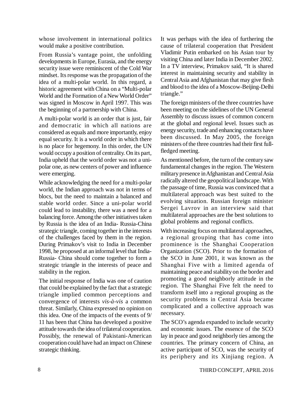whose involvement in international politics would make a positive contribution.

From Russia's vantage point, the unfolding developments in Europe, Eurasia, and the energy security issue were reminiscent of the Cold War mindset. Its response was the propagation of the idea of a multi-polar world. In this regard, a historic agreement with China on a "Multi-polar World and the Formation of a New World Order" was signed in Moscow in April 1997. This was the beginning of a partnership with China.

A multi-polar world is an order that is just, fair and democratic in which all nations are considered as equals and more importantly, enjoy equal security. It is a world order in which there is no place for hegemony. In this order, the UN would occupy a position of centrality. On its part, India upheld that the world order was not a unipolar one, as new centers of power and influence were emerging.

While acknowledging the need for a multi-polar world, the Indian approach was not in terms of blocs, but the need to maintain a balanced and stable world order. Since a uni-polar world could lead to instability, there was a need for a balancing force. Among the other initiatives taken by Russia is the idea of an India- Russia-China strategic triangle, coming together in the interests of the challenges faced by them in the region. During Primakov's visit to India in December 1998, he proposed at an informal level that India-Russia- China should come together to form a strategic triangle in the interests of peace and stability in the region.

The initial response of India was one of caution that could be explained by the fact that a strategic triangle implied common perceptions and convergence of interests *vis-à-vis* a common threat. Similarly, China expressed no opinion on this idea. One of the impacts of the events of 9/ 11 has been that China has developed a positive attitude towards the idea of trilateral cooperation. Possibly, the renewal of Pakistani-American cooperation could have had an impact on Chinese strategic thinking.

It was perhaps with the idea of furthering the cause of trilateral cooperation that President Vladimir Putin embarked on his Asian tour by visiting China and later India in December 2002. In a TV interview, Primakov said, "It is shared interest in maintaining security and stability in Central Asia and Afghanistan that may give flesh and blood to the idea of a Moscow-Beijing-Delhi triangle."

The foreign ministers of the three countries have been meeting on the sidelines of the UN General Assembly to discuss issues of common concern at the global and regional level. Issues such as energy security, trade and enhancing contacts have been discussed. In May 2005, the foreign ministers of the three countries had their first fullfledged meeting.

As mentioned before, the turn of the century saw fundamental changes in the region. The Western military presence in Afghanistan and Central Asia radically altered the geopolitical landscape. With the passage of time, Russia was convinced that a multilateral approach was best suited to the evolving situation. Russian foreign minister Sergei Lavrov in an interview said that multilateral approaches are the best solutions to global problems and regional conflicts.

With increasing focus on multilateral approaches, a regional grouping that has come into prominence is the Shanghai Cooperation Organization (SCO). Prior to the formation of the SCO in June 2001, it was known as the Shanghai Five with a limited agenda of maintaining peace and stability on the border and promoting a good neighborly attitude in the region. The Shanghai Five felt the need to transform itself into a regional grouping as the security problems in Central Asia became complicated and a collective approach was necessary.

The SCO's agenda expanded to include security and economic issues. The essence of the SCO lay in peace and good neighborly ties among the countries. The primary concern of China, an active participant of SCO, was the security of its periphery and its Xinjiang region. A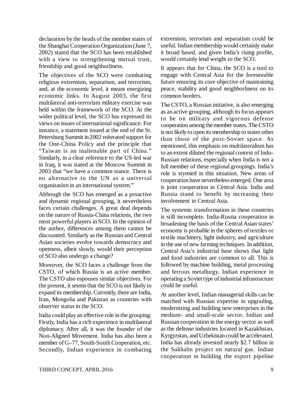declaration by the heads of the member states of the Shanghai Cooperation Organization (June 7, 2002) stated that the SCO has been established with a view to strengthening mutual trust, friendship and good neighborliness.

The objectives of the SCO were combating religious extremism, separatism, and terrorism, and, at the economic level, it meant energizing economic links. In August 2003, the first multilateral anti-terrorism military exercise was held within the framework of the SCO. At the wider political level, the SCO has expressed its views on issues of international significance. For instance, a statement issued at the end of the St. Petersburg Summit in 2002 reiterated support for the One-China Policy and the principle that "Taiwan is an inalienable part of China." Similarly, in a clear reference to the US-led war in Iraq, it was stated at the Moscow Summit in 2003 that "we have a common stance. There is no alternative to the UN as a universal organization in an international system."

Although the SCO has emerged as a proactive and dynamic regional grouping, it nevertheless faces certain challenges. A great deal depends on the nature of Russia-China relations, the two most powerful players in SCO. In the opinion of the author, differences among them cannot be discounted. Similarly as the Russian and Central Asian societies evolve towards democracy and openness, albeit slowly, would their perception of SCO also undergo a change?

Moreover, the SCO faces a challenge from the CSTO, of which Russia is an active member. The CSTO also espouses similar objectives. For the present, it seems that the SCO is not likely to expand its membership. Currently, there are India, Iran, Mongolia and Pakistan as countries with observer status in the SCO.

India could play an effective role in the grouping. Firstly, India has a rich experience in multilateral diplomacy. After all, it was the founder of the Non-Aligned Movement. India has also been a member of G–77, South-South Cooperation, etc. Secondly, Indian experience in combating extremism, terrorism and separatism could be useful. Indian membership would certainly make it broad based, and given India's rising profile, would certainly lend weight to the SCO.

It appears that for China, the SCO is a tool to engage with Central Asia for the foreseeable future ensuring its core objective of maintaining peace, stability and good neighborliness on its common borders.

The CSTO, a Russian initiative, is also emerging as an active grouping, although its focus appears to be on military and vigorous defense cooperation among the member states. The CSTO is not likely to open its membership to states other than those of the post-Soviet space. As mentioned, this emphasis on multilateralism has to an extent diluted the regional context of Indo-Russian relations, especially when India is not a full member of these regional groupings. India's role is stymied in this situation. New areas of cooperation have nevertheless emerged. One area is joint cooperation in Central Asia. India and Russia stand to benefit by increasing their involvement in Central Asia.

The systemic transformation in these countries is still incomplete. India-Russia cooperation in broadening the basis of the Central Asian states' economy is probable in the spheres of textiles or textile machinery, light industry, and agriculture in the use of new farming techniques. In addition, Central Asia's industrial base shows that light and food industries are common to all. This is followed by machine building, metal processing and ferrous metallurgy. Indian experience in operating a Soviet type of industrial infrastructure could be useful.

At another level, Indian managerial skills can be matched with Russian expertise in upgrading, modernizing and building new enterprises in the medium- and small-scale sector. Indian and Russian cooperation in the energy sector as well as the defense industries located in Kazakhstan, Kyrgyzstan, and Uzbekistan could be accelerated. India has already invested nearly \$2.7 billion in the Sakhalin project on natural gas. Indian cooperation in building the export pipeline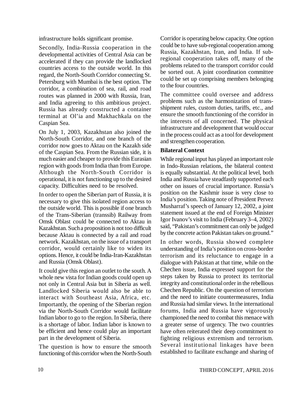infrastructure holds significant promise.

Secondly, India-Russia cooperation in the developmental activities of Central Asia can be accelerated if they can provide the landlocked countries access to the outside world. In this regard, the North-South Corridor connecting St. Petersburg with Mumbai is the best option. The corridor, a combination of sea, rail, and road routes was planned in 2000 with Russia, Iran, and India agreeing to this ambitious project. Russia has already constructed a container terminal at Ol'ia and Makhachkala on the Caspian Sea.

On July 1, 2003, Kazakhstan also joined the North-South Corridor, and one branch of the corridor now goes to Aktau on the Kazakh side of the Caspian Sea. From the Russian side, it is much easier and cheaper to provide this Eurasian region with goods from India than from Europe. Although the North-South Corridor is operational, it is not functioning up to the desired capacity. Difficulties need to be resolved.

In order to open the Siberian part of Russia, it is necessary to give this isolated region access to the outside world. This is possible if one branch of the Trans-Siberian (transsib) Railway from Omsk Oblast could be connected to Aktau in Kazakhstan. Such a proposition is not too difficult because Aktau is connected by a rail and road network. Kazakhstan, on the issue of a transport corridor, would certainly like to widen its options. Hence, it could be India-Iran-Kazakhstan and Russia (Omsk Oblast).

It could give this region an outlet to the south. A whole new vista for Indian goods could open up not only in Central Asia but in Siberia as well. Landlocked Siberia would also be able to interact with Southeast Asia, Africa, etc. Importantly, the opening of the Siberian region via the North-South Corridor would facilitate Indian labor to go to the region. In Siberia, there is a shortage of labor. Indian labor is known to be efficient and hence could play an important part in the development of Siberia.

The question is how to ensure the smooth functioning of this corridor when the North-South

Corridor is operating below capacity. One option could be to have sub-regional cooperation among Russia, Kazakhstan, Iran, and India. If subregional cooperation takes off, many of the problems related to the transport corridor could be sorted out. A joint coordination committee could be set up comprising members belonging to the four countries.

The committee could oversee and address problems such as the harmonization of transshipment rules, custom duties, tariffs, etc., and ensure the smooth functioning of the corridor in the interests of all concerned. The physical infrastructure and development that would occur in the process could act as a tool for development and strengthen cooperation.

#### **Bilateral Context**

While regional input has played an important role in Indo-Russian relations, the bilateral context is equally substantial. At the political level, both India and Russia have steadfastly supported each other on issues of crucial importance. Russia's position on the Kashmir issue is very close to India's position. Taking note of President Pervez Musharraf's speech of January 12, 2002, a joint statement issued at the end of Foreign Minister Igor Ivanov's visit to India (February 3–4, 2002) said, "Pakistan's commitment can only be judged by the concrete action Pakistan takes on ground."

In other words, Russia showed complete understanding of India's position on cross-border terrorism and its reluctance to engage in a dialogue with Pakistan at that time, while on the Chechen issue, India expressed support for the steps taken by Russia to protect its territorial integrity and constitutional order in the rebellious Chechen Republic. On the question of terrorism and the need to initiate countermeasures, India and Russia had similar views. In the international forums, India and Russia have vigorously championed the need to combat this menace with a greater sense of urgency. The two countries have often reiterated their deep commitment to fighting religious extremism and terrorism. Several institutional linkages have been established to facilitate exchange and sharing of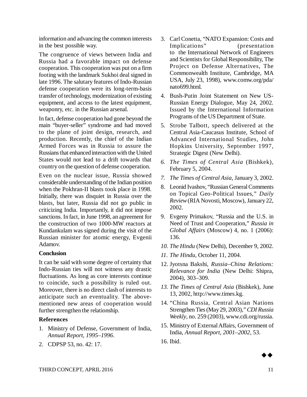information and advancing the common interests in the best possible way.

The congruence of views between India and Russia had a favorable impact on defense cooperation. This cooperation was put on a firm footing with the landmark Sukhoi deal signed in late 1996. The salutary features of Indo-Russian defense cooperation were its long-term-basis transfer of technology, modernization of existing equipment, and access to the latest equipment, weaponry, etc. in the Russian arsenal.

In fact, defense cooperation had gone beyond the main "buyer-seller" syndrome and had moved to the plane of joint design, research, and production. Recently, the chief of the Indian Armed Forces was in Russia to assure the Russians that enhanced interaction with the United States would not lead to a drift towards that country on the question of defense cooperation.

Even on the nuclear issue, Russia showed considerable understanding of the Indian position when the Pokhran-II blasts took place in 1998. Initially, there was disquiet in Russia over the blasts, but later, Russia did not go public in criticizing India. Importantly, it did not impose sanctions. In fact, in June 1998, an agreement for the construction of two 1000-MW reactors at Kundankulam was signed during the visit of the Russian minister for atomic energy, Evgenii Adamov.

#### **Conclusion**

It can be said with some degree of certainty that Indo-Russian ties will not witness any drastic fluctuations. As long as core interests continue to coincide, such a possibility is ruled out. Moreover, there is no direct clash of interests to anticipate such an eventuality. The abovementioned new areas of cooperation would further strengthen the relationship.

### **References**

- 1. Ministry of Defense, Government of India, *Annual Report, 1995–1996*.
- 2. CDPSP 53, no. 42: 17.
- 3. Carl Conetta, "NATO Expansion: Costs and Implications" (presentation to the International Network of Engineers and Scientists for Global Responsibility, The Project on Defense Alternatives, The Commonwealth Institute, Cambridge, MA USA, July 23, 1998), [www.comw.org/pda/](http://www.comw.org/pda/) nato699.html.
- 4. Bush-Putin Joint Statement on New US-Russian Energy Dialogue, May 24, 2002. Issued by the International Information Programs of the US Department of State.
- 5. Strobe Talbott, speech delivered at the Central Asia-Caucasus Institute, School of Advanced International Studies, John Hopkins University, September 1997, Strategic Digest (New Delhi).
- *6. The Times of Central Asia* (Bishkek), February 5, 2004.
- *7. The Times of Central Asia*, January 3, 2002.
- 8. Leonid Ivashov, "Russian General Comments on Topical Geo-Political Issues," *Daily Review* (RIA Novosti, Moscow), January 22, 2002.
- 9. Evgeny Primakov, "Russia and the U.S. in Need of Trust and Cooperation," *Russia in Global Affairs* (Moscow) 4, no. 1 (2006): 136.
- *10. The Hindu* (New Delhi), December 9, 2002.
- *11. The Hindu*, October 11, 2004.
- 12. Jyotsna Bakshi, *Russia–China Relations: Relevance for India* (New Delhi: Shipra, 2004), 303–309.
- *13. The Times of Central Asia* (Bishkek), June 13, 2002,<http://www.times.kg.>
- 14. "China Russia, Central Asian Nations Strengthen Ties (May 29, 2003)," *CDI Russia Weekly*, no. 259 (2003), [www.cdi.org/russia.](http://www.cdi.org/russia.)
- 15. Ministry of External Affairs, Government of India, *Annual Report, 2001–2002*, 53.
- 16. Ibid.

 $\rightarrow \rightarrow$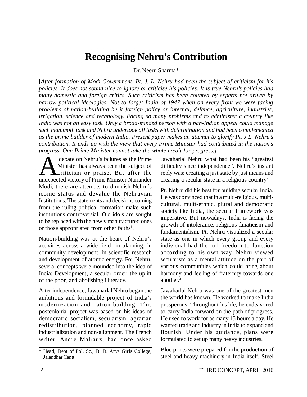## **Recognising Nehru's Contribution**

Dr. Neeru Sharma\*

[*After formation of Modi Government, Pt. J. L. Nehru had been the subject of criticism for his policies. It does not sound nice to ignore or criticise his policies. It is true Nehru's policies had many domestic and foreign critics. Such criticism has been counted by experts not driven by narrow political ideologies. Not to forget India of 1947 when on every front we were facing problems of nation-building be it foreign policy or internal, defence, agriculture, industries, irrigation, science and technology. Facing so many problems and to administer a country like India was not an easy task. Only a broad-minded person with a pan-Indian appeal could manage such mammoth task and Nehru undertook all tasks with determination and had been complemented as the prime builder of modern India. Present paper makes an attempt to glorify Pt. J.L. Nehru's contribution. It ends up with the view that every Prime Minister had contributed in the nation's progress. One Prime Minister cannot take the whole credit for progress.]*

debate on Nehru's failures as the Prime<br>Minister has always been the subject of<br>criticism or praise. But after the<br>unexpected victory of Prime Minister Nariander debate on Nehru's failures as the Prime Minister has always been the subject of **L**eriticism or praise. But after the Modi, there are attempts to diminish Nehru's iconic status and devalue the Nehruvian Institutions. The statements and decisions coming from the ruling political formation make such institutions controversial. Old idols are sought to be replaced with the newly manufactured ones or those appropriated from other faiths<sup>1</sup>.

Nation-building was at the heart of Nehru's activities across a wide field- in planning, in community development, in scientific research and development of atomic energy. For Nehru, several concepts were mounded into the idea of India: Development, a secular order, the uplift of the poor, and abolishing illiteracy.

After independence, Jawaharlal Nehru began the ambitious and formidable project of India's modernization and nation-building. This postcolonial project was based on his ideas of democratic socialism, secularism, agrarian redistribution, planned economy, rapid industrialization and non-alignment. The French writer, Andre Malraux, had once asked Jawaharlal Nehru what had been his "greatest difficulty since independence". Nehru's instant reply was: creating a just state by just means and creating a secular state in a religious country<sup>2</sup>.

Pt. Nehru did his best for building secular India. He was convinced that in a multi-religious, multicultural, multi-ethnic, plural and democratic society like India, the secular framework was imperative. But nowadays, India is facing the growth of intolerance, religious fanaticism and fundamentalism. Pt. Nehru visualized a secular state as one in which every group and every individual had the full freedom to function according to his own way. Nehru viewed secularism as a mental attitude on the part of various communities which could bring about harmony and feeling of fraternity towards one another.<sup>3</sup>

Jawaharlal Nehru was one of the greatest men the world has known. He worked to make India prosperous. Throughout his life, he endeavored to carry India forward on the path of progress. He used to work for as many 15 hours a day. He wanted trade and industry in India to expand and flourish. Under his guidance, plans were formulated to set up many heavy industries.

Blue prints were prepared for the production of steel and heavy machinery in India itself. Steel

<sup>\*</sup> Head, Dept of Pol. Sc., B. D. Arya Girls College, Jalandhar Cantt.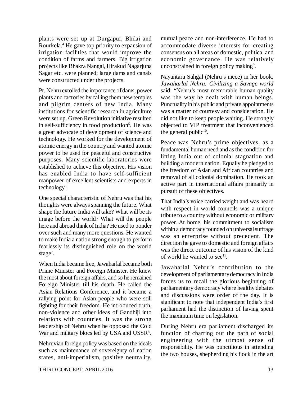plants were set up at Durgapur, Bhilai and Rourkela.<sup>4</sup> He gave top priority to expansion of irrigation facilities that would improve the condition of farms and farmers. Big irrigation projects like Bhakra Nangal, Hirakud Nagarjuna Sagar etc. were planned; large dams and canals were constructed under the projects.

Pt. Nehru extolled the importance of dams, power plants and factories by calling them new temples and pilgrim centers of new India. Many institutions for scientific research in agriculture were set up. Green Revolution initiative resulted in self-sufficiency in food production<sup>5</sup>. He was a great advocate of development of science and technology. He worked for the development of atomic energy in the country and wanted atomic power to be used for peaceful and constructive purposes. Many scientific laboratories were established to achieve this objective. His vision has enabled India to have self-sufficient manpower of excellent scientists and experts in technology<sup>6</sup>.

One special characteristic of Nehru was that his thoughts were always spanning the future. What shape the future India will take? What will be its image before the world? What will the people here and abroad think of India? He used to ponder over such and many more questions. He wanted to make India a nation strong enough to perform fearlessly its distinguished role on the world stage<sup>7</sup>.

When India became free, Jawaharlal became both Prime Minister and Foreign Minister. He knew the most about foreign affairs, and so he remained Foreign Minister till his death. He called the Asian Relations Conference, and it became a rallying point for Asian people who were still fighting for their freedom. He introduced truth, non-violence and other ideas of Gandhiji into relations with countries. It was the strong leadership of Nehru when he opposed the Cold War and military blocs led by USA and USSR<sup>8</sup>.

Nehruvian foreign policy was based on the ideals such as maintenance of sovereignty of nation states, anti-imperialism, positive neutrality, mutual peace and non-interference. He had to accommodate diverse interests for creating consensus on all areas of domestic, political and economic governance. He was relatively unconstrained in foreign policy making<sup>9</sup>.

Nayantara Sahgal (Nehru's niece) in her book, *Jawaharlal Nehru: Civilizing a Savage world* said: "Nehru's most memorable human quality was the way he dealt with human beings. Punctuality in his public and private appointments was a matter of courtesy and consideration. He did not like to keep people waiting. He strongly objected to VIP treatment that inconvenienced the general public $10$ .

Peace was Nehru's prime objectives, as a fundamental human need and as the condition for lifting India out of colonial stagnation and building a modern nation. Equally he pledged to the freedom of Asian and African countries and removal of all colonial domination. He took an active part in international affairs primarily in pursuit of these objectives.

That India's voice carried weight and was heard with respect in world councils was a unique tribute to a country without economic or military power. At home, his commitment to socialism within a democracy founded on universal suffrage was an enterprise without precedent. The direction he gave to domestic and foreign affairs was the direct outcome of his vision of the kind of world he wanted to see<sup>11</sup>.

Jawaharlal Nehru's contribution to the development of parliamentary democracy in India forces us to recall the glorious beginning of parliamentary democracy where healthy debates and discussions were order of the day. It is significant to note that independent India's first parliament had the distinction of having spent the maximum time on legislation.

During Nehru era parliament discharged its function of charting out the path of social engineering with the utmost sense of responsibility. He was punctilious in attending the two houses, shepherding his flock in the art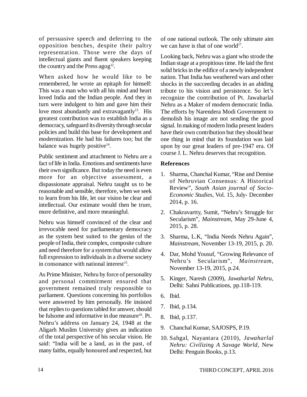of persuasive speech and deferring to the opposition benches, despite their paltry representation. Those were the days of intellectual giants and fluent speakers keeping the country and the Press  $agg^{12}$ .

When asked how he would like to be remembered, he wrote an epitaph for himself: This was a man who with all his mind and heart loved India and the Indian people. And they in turn were indulgent to him and gave him their love most abundantly and extravagantly<sup>13</sup>. His greatest contribution was to establish India as a democracy, safeguard its diversity through secular policies and build this base for development and modernization. He had his failures too; but the balance was hugely positive<sup>14</sup>.

Public sentiment and attachment to Nehru are a fact of life in India. Emotions and sentiments have their own significance. But today the need is even more for an objective assessment, a dispassionate appraisal. Nehru taught us to be reasonable and sensible, therefore, when we seek to learn from his life, let our vision be clear and intellectual. Our estimate would then be truer, more definitive, and more meaningful.

Nehru was himself convinced of the clear and irrevocable need for parliamentary democracy as the system best suited to the genius of the people of India, their complex, composite culture and need therefore for a system that would allow full expression to individuals in a diverse society in consonance with national interest<sup>15</sup>.

As Prime Minister, Nehru by force of personality and personal commitment ensured that government remained truly responsible to parliament. Questions concerning his portfolios were answered by him personally. He insisted that replies to questions tabled for answer, should be fulsome and informative in due measure<sup>16</sup>. Pt. Nehru's address on January 24, 1948 at the Aligarh Muslim University gives an indication of the total perspective of his secular vision. He said: "India will be a land, as in the past, of many faiths, equally honoured and respected, but of one national outlook. The only ultimate aim we can have is that of one world<sup>17</sup>.

Looking back, Nehru was a giant who strode the Indian stage at a propitious time. He laid the first solid bricks in the edifice of a newly independent nation. That India has weathered wars and other shocks in the succeeding decades in an abiding tribute to his vision and persistence. So let's recognize the contribution of Pt. Jawaharlal Nehru as a Maker of modern democratic India. The efforts by Narendera Modi Government to demolish his image are not sending the good signal. In making of modern India present leaders have their own contribution but they should bear one thing in mind that its foundation was laid upon by our great leaders of pre-1947 era. Of course J. L. Nehru deserves that recognition.

#### **References**

- 1. Sharma, Chanchal Kumar, "Rise and Demise of Nehruvian Consensus: A Historical Review", *South Asian journal of Socio-Economic Studies*, Vol. 15, July- December 2014, p. 16.
- 2. Chakravartty, Sumit, "Nehru's Struggle for Secularism", *Mainstream*, May 29-June 4, 2015, p. 28.
- 3. Sharma, L.K, "India Needs Nehru Again", *Mainstream*, November 13-19, 2015, p. 20.
- 4. Dar, Mohd Yousuf, "Growing Relevance of Nehru's Secularism", *Mainstream*, November 13-19, 2015, p.24.
- 5. Kinger, Naresh (2009), *Jawaharlal Nehru*, Delhi: Sahni Publications, pp.118-119.
- 6. Ibid.
- 7. Ibid, p.134.
- 8. Ibid, p.137.
- 9. Chanchal Kumar, SAJOSPS, P.19.
- 10. Sahgal, Nayantara (2010), *Jawaharlal Nehru: Civilizing A Savage World*, New Delhi: Penguin Books, p.13.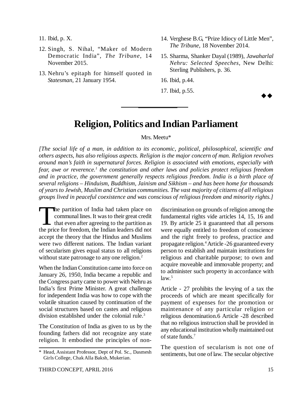- 11. Ibid, p. X.
- 12. Singh, S. Nihal, "Maker of Modern Democratic India", *The Tribune*, 14 November 2015.
- 13. Nehru's epitaph for himself quoted in *Statesman*, 21 January 1954.
- 14. Verghese B.G, "Prize Idiocy of Little Men", *The Tribune*, 18 November 2014.
- 15. Sharma, Shanker Dayal (1989), *Jawaharlal Nehru: Selected Speeches*, New Delhi: Sterling Publishers, p. 36.
- 16. Ibid, p.44.
- 17. Ibid, p.55.



## **Religion, Politics and Indian Parliament**

#### Mrs. Meetu\*

*[The social life of a man, in addition to its economic, political, philosophical, scientific and others aspects, has also religious aspects. Religion is the major concern of man. Religion revolves around man's faith in supernatural forces. Religion is associated with emotions, especially with fear, awe or reverence.<sup>1</sup> the constitution and other laws and policies protect religious freedom and in practice, the government generally respects religious freedom. India is a birth place of several religions – Hinduism, Buddhism, Jainism and Sikhism – and has been home for thousands of years to Jewish, Muslim and Christian communities. The vast majority of citizens of all religious groups lived in peaceful coexistence and was conscious of religious freedom and minority rights.]*

The partition of India had taken place on communal lines. It was to their great credit that even after agreeing to the partition as the price for freedom, the Indian leaders did not he partition of India had taken place on communal lines. It was to their great credit  $\mathsf{\mathsf{L}}$  that even after agreeing to the partition as accept the theory that the Hindus and Muslims were two different nations. The Indian variant of secularism gives equal status to all religions without state patronage to any one religion.<sup>2</sup>

When the Indian Constitution came into force on January 26, 1950, India became a republic and the Congress party came to power with Nehru as India's first Prime Minister. A great challenge for independent India was how to cope with the volatile situation caused by continuation of the social structures based on castes and religious division established under the colonial rule.<sup>3</sup>

The Constitution of India as given to us by the founding fathers did not recognize any state religion. It embodied the principles of nondiscrimination on grounds of religion among the fundamental rights vide articles 14, 15, 16 and 19. By article 25 it guaranteed that all persons were equally entitled to freedom of conscience and the right freely to profess, practice and propagate religion.<sup>4</sup> Article -26 guaranteed every person to establish and maintain institutions for religious and charitable purpose; to own and acquire moveable and immovable property; and to administer such property in accordance with  $law<sup>5</sup>$ 

Article - 27 prohibits the levying of a tax the proceeds of which are meant specifically for payment of expenses for the promotion or maintenance of any particular religion or religious denomination.6 Article -28 described that no religious instruction shall be provided in any educational institution wholly maintained out of state funds.<sup>7</sup>

The question of secularism is not one of sentiments, but one of law. The secular objective

<sup>\*</sup> Head, Assistant Professor, Dept of Pol. Sc., Dasmesh Girls College, Chak Alla Baksh, Mukerian.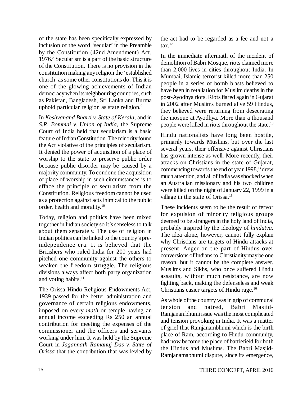of the state has been specifically expressed by inclusion of the word 'secular' in the Preamble by the Constitution (42nd Amendment) Act, 1976.<sup>8</sup> Secularism is a part of the basic structure of the Constitution. There is no provision in the constitution making any religion the 'established church' as some other constitutions do. This it is one of the glowing achievements of Indian democracy when its neighbouring countries, such as Pakistan, Bangladesh, Sri Lanka and Burma uphold particular religion as state religion.<sup>9</sup>

In *Keshvanand Bharti v. State of Kerala*, and in *S.R. Bommai v. Union of India*, the Supreme Court of India held that secularism is a basic feature of Indian Constitution. The minority found the Act violative of the principles of secularism. It denied the power of acquisition of a place of worship to the state to preserve public order because public disorder may be caused by a majority community. To condone the acquisition of place of worship in such circumstances is to efface the principle of secularism from the Constitution. Religious freedom cannot be used as a protection against acts inimical to the public order, health and morality.<sup>10</sup>

Today, religion and politics have been mixed together in Indian society so it's senseless to talk about them separately. The use of religion in Indian politics can be linked to the country's preindependence era. It is believed that the Britishers who ruled India for 200 years had pitched one community against the others to weaken the freedom struggle. The religious divisions always affect both party organization and voting habits.<sup>11</sup>

The Orissa Hindu Religious Endowments Act, 1939 passed for the better administration and governance of certain religious endowments, imposed on every *math* or temple having an annual income exceeding Rs 250 an annual contribution for meeting the expenses of the commissioner and the officers and servants working under him. It was held by the Supreme Court in *Jagannath Ramanuj Das v. State of Orissa* that the contribution that was levied by

the act had to be regarded as a fee and not a tax $12$ 

In the immediate aftermath of the incident of demolition of Babri Mosque, riots claimed more than 2,000 lives in cities throughout India. In Mumbai, Islamic terrorist killed more than 250 people in a series of bomb blasts believed to have been in retaliation for Muslim deaths in the post-Ayodhya riots. Riots flared again in Gujarat in 2002 after Muslims burned alive 59 Hindus, they believed were returning from desecrating the mosque at Ayodhya. More than a thousand people were killed in riots throughout the state.<sup>13</sup>

Hindu nationalists have long been hostile, primarily towards Muslims, but over the last several years, their offensive against Christians has grown intense as well. More recently, their attacks on Christians in the state of Gujarat, commencing towards the end of year 1998,<sup>14</sup> drew much attention, and all of India was shocked when an Australian missionary and his two children were killed on the night of January 22, 1999 in a village in the state of Orissa.<sup>15</sup>

These incidents seem to be the result of fervor for expulsion of minority religious groups deemed to be strangers in the holy land of India, probably inspired by the ideology of *hindutva*. The idea alone, however, cannot fully explain why Christians are targets of Hindu attacks at present. Anger on the part of Hindus over conversions of Indians to Christianity may be one reason, but it cannot be the complete answer. Muslims and Sikhs, who once suffered Hindu assaults, without much resistance, are now fighting back, making the defenseless and weak Christians easier targets of Hindu rage.<sup>16</sup>

As whole of the country was in grip of communal tension and hatred, Babri Masjid-Ramjanambhumi issue was the most complicated and tension provoking in India. It was a matter of grief that Ramjanambhumi which is the birth place of Ram, according to Hindu community, had now become the place of battlefield for both the Hindus and Muslims. The Babri Masjid-Ramjanamabhumi dispute, since its emergence,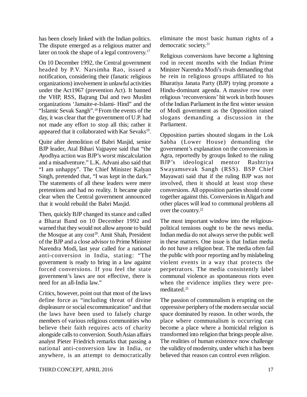has been closely linked with the Indian politics. The dispute emerged as a religious matter and later on took the shape of a legal controversy.<sup>17</sup>

On 10 December 1992, the Central government headed by P.V. Narsimha Rao, issued a notification, considering their (fanatic religious organizations) involvement in unlawful activities under the Act1967 (prevention Act). It banned the VHP, RSS, Bajrang Dal and two Muslim organizations 'Jamaite-e-Islami- Hind" and the "Islamic Sevak Sangh".<sup>18</sup>From the events of the day, it was clear that the government of U.P. had not made any effort to stop all this; rather it appeared that it collaborated with Kar Sevaks<sup>19</sup>.

Quite after demolition of Babri Masjid, senior BJP leader, Atal Bihari Vajpayee said that "the Ayodhya action was BJP's worst miscalculation and a misadventure." L.K. Advani also said that "I am unhappy". The Chief Minister Kalyan Singh, pretended that, "I was kept in the dark." The statements of all these leaders were mere pretentions and had no reality. It became quite clear when the Central government announced that it would rebuild the Babri Masjid.

Then, quickly BJP changed its stance and called a Bharat Band on 10 December 1992 and warned that they would not allow anyone to build the Mosque at any  $cost^{20}$ . Amit Shah, President of the BJP and a close advisor to Prime Minister Narendra Modi, last year called for a national anti-conversion in India, stating: "The government is ready to bring in a law against forced conversions. If you feel the state government's laws are not effective, there is need for an all-India law."

Critics, however, point out that most of the laws define force as "including threat of divine displeasure or social excommunication" and that the laws have been used to falsely charge members of various religious communities who believe their faith requires acts of charity alongside calls to conversion. South Asian affairs analyst Pieter Friedrich remarks that passing a national anti-conversion law in India, or anywhere, is an attempt to democratically eliminate the most basic human rights of a democratic society.<sup>21</sup>

Religious conversions have become a lightning rod in recent months with the Indian Prime Minister Narendra Modi's rivals demanding that he rein in religious groups affiliated to his Bharatiya Janata Party (BJP) trying promote a Hindu-dominant agenda. A massive row over religious 'reconversions' hit work in both houses of the Indian Parliament in the first winter session of Modi government as the Opposition raised slogans demanding a discussion in the Parliament.

Opposition parties shouted slogans in the Lok Sabha (Lower House) demanding the government's explanation on the conversions in Agra, reportedly by groups linked to the ruling BJP's ideological mentor Rashtriya Swayamsevak Sangh (RSS). BSP Chief Mayawati said that if the ruling BJP was not involved, then it should at least stop these conversions. All opposition parties should come together against this. Conversions in Aligarh and other places will lead to communal problems all over the country.<sup>22</sup>

The most important window into the religiouspolitical tensions ought to be the news media. Indian media do not always serve the public well in these matters. One issue is that Indian media do not have a religion beat. The media often fail the public with poor reporting and by mislabeling violent events in a way that protects the perpetrators. The media consistently label communal violence as spontaneous riots even when the evidence implies they were premeditated.<sup>23</sup>

The passion of communalism is erupting on the oppressive periphery of the modern secular social space dominated by reason. In other words, the place where communalism is occurring can become a place where a homicidal religion is transformed into religion that brings people alive. The realities of human existence now challenge the validity of modernity, under which it has been believed that reason can control even religion.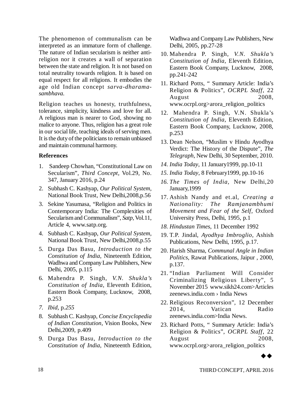The phenomenon of communalism can be interpreted as an immature form of challenge. The nature of Indian secularism is neither antireligion nor it creates a wall of separation between the state and religion. It is not based on total neutrality towards religion. It is based on equal respect for all religions. It embodies the age old Indian concept *sarva-dharamasambhava.*

Religion teaches us honesty, truthfulness, tolerance, simplicity, kindness and love for all. A religious man is nearer to God, showing no malice to anyone. Thus, religion has a great role in our social life, teaching ideals of serving men. It is the duty of the politicians to remain unbiased and maintain communal harmony.

#### **References**

- 1. Sandeep Chowhan, "Constitutional Law on Secularism", *Third Concept*, Vol.29, No. 347, January 2016, p.24
- 2. Subhash C. Kashyap, *Our Political System*, National Book Trust, New Delhi,2008,p.56
- 3. Sekine Yasumasa, "Religion and Politics in Contemporary India: The Complexities of Secularism and Communalism", *Satp*, Vol.11, Article 4, [www.satp.org.](http://www.satp.org.)
- 4. Subhash C. Kashyap, *Our Political System*, National Book Trust, New Delhi,2008,p.55
- 5. Durga Das Basu, *Introduction to the Constitution of India*, Nineteenth Edition, Wadhwa and Company Law Publishers, New Delhi, 2005, p.115
- 6. Mahendra P. Singh, *V.N. Shukla's Constitution of India*, Eleventh Edition, Eastern Book Company, Lucknow, 2008, p.253
- *7. Ibid,* p*.255*
- 8. Subhash C. Kashyap, *Concise Encyclopedia of Indian Constitution*, Vision Books, New Delhi,2009, p.409
- 9. Durga Das Basu, *Introduction to the Constitution of India*, Nineteenth Edition,

Wadhwa and Company Law Publishers, New Delhi, 2005, pp.27-28

- 10. Mahendra P. Singh, *V.N. Shukla's Constitution of India*, Eleventh Edition, Eastern Book Company, Lucknow, 2008, pp.241-242
- 11. Richard Potts, " Summary Article: India's Religion & Politics", *OCRPL Staff*, 22 August 2008, [www.ocrpl.org>](http://www.ocrpl.org)arora\_religion\_politics
- 12. Mahendra P. Singh, V.N. Shukla's *Constitution of India*, Eleventh Edition, Eastern Book Company, Lucknow, 2008, p.253
- 13. Dean Nelson, "Muslim v Hindu Ayodhya Verdict: The History of the Dispute", *The Telegraph*, New Delhi, 30 September, 2010.
- *14. India Today*, 11 January1999, pp.10-11
- *15. India Today*, 8 February1999, pp.10-16
- *16. The Times of India,* New Delhi,20 January,1999
- 17. Ashish Nandy and et.al, *Creating a Nationality: The Ramjanambhumi Movement and Fear of the Self,* Oxford University Press, Delhi, 1995, p.1
- *18. Hindustan Times*, 11 December 1992
- 19. T.P. Jindal, *Ayodhya Imbroglio*, Ashish Publications, New Delhi, 1995, p.17.
- 20. Harish Sharma, *Communal Angle in Indian Politics*, Rawat Publications, Jaipur , 2000, p.137.
- 21. "Indian Parliament Will Consider Criminalizing Religious Liberty", 5 November 2015 [www.sikh24.com>](http://www.sikh24.com)Articles zeenews.india.com › India News
- 22. Religious Reconversion", 12 December 2014, Vatican Radio zeenews.india.com>India News.
- 23. Richard Potts, " Summary Article: India's Religion & Politics", *OCRPL Staff*, 22 August 2008, [www.ocrpl.org>](http://www.ocrpl.org)arora\_religion\_politics

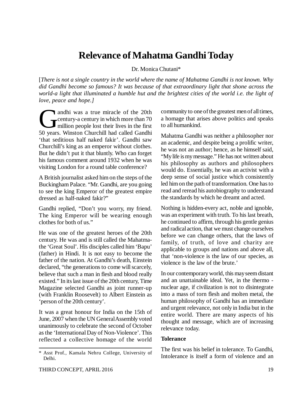# **Relevance of Mahatma Gandhi Today**

Dr. Monica Chutani\*

[*There is not a single country in the world where the name of Mahatma Gandhi is not known. Why did Gandhi become so famous? It was because of that extraordinary light that shone across the world-a light that illuminated a humble hut and the brightest cities of the world i.e. the light of love, peace and hope.]*

andhi was a true miracle of the 20th<br>Tentury-a century in which more than 70<br>million people lost their lives in the first<br>50 years. Winston Churchill had called Gandhi andhi was a true miracle of the 20th century-a century in which more than 70 million people lost their lives in the first 'that seditious half naked fakir'. Gandhi saw Churchill's king as an emperor without clothes. But he didn't put it that bluntly. Who can forget his famous comment around 1932 when he was visiting London for a round table conference?

A British journalist asked him on the steps of the Buckingham Palace. "Mr. Gandhi, are you going to see the king Emperor of the greatest empire dressed as half-naked fakir?"

Gandhi replied, "Don't you worry, my friend. The king Emperor will be wearing enough clothes for both of us."

He was one of the greatest heroes of the 20th century. He was and is still called the Mahatmathe 'Great Soul'. His disciples called him 'Bapu' (father) in Hindi. It is not easy to become the father of the nation. At Gandhi's death, Einstein declared, "the generations to come will scarcely, believe that such a man in flesh and blood really existed." In its last issue of the 20th century, Time Magazine selected Gandhi as joint runner-up (with Franklin Roosevelt) to Albert Einstein as 'person of the 20th century'.

It was a great honour for India on the 15th of June, 2007 when the UN General Assembly voted unanimously to celebrate the second of October as the 'International Day of Non-Violence'. This reflected a collective homage of the world

community to one of the greatest men of all times, a homage that arises above politics and speaks to all humankind.

Mahatma Gandhi was neither a philosopher nor an academic, and despite being a prolific writer, he was not an author; hence, as he himself said, "My life is my message." He has not written about his philosophy as authors and philosophers would do. Essentially, he was an activist with a deep sense of social justice which consistently led him on the path of transformation. One has to read and reread his autobiography to understand the standards by which he dreamt and acted.

Nothing is hidden-every act, noble and ignoble, was an experiment with truth. To his last breath, he continued to affirm, through his gentle genius and radical action, that we must change ourselves before we can change others, that the laws of family, of truth, of love and charity are applicable to groups and nations and above all, that 'non-violence is the law of our species, as violence is the law of the brute.'

In our contemporary world, this may seem distant and an unattainable ideal. Yet, in the thermo nuclear age, if civilization is not to disintegrate into a mass of torn flesh and molten metal, the human philosophy of Gandhi has an immediate and urgent relevance, not only in India but in the entire world. There are many aspects of his thought and message, which are of increasing relevance today.

#### **Tolerance**

The first was his belief in tolerance. To Gandhi, Intolerance is itself a form of violence and an

<sup>\*</sup> Asst Prof., Kamala Nehru College, University of Delhi.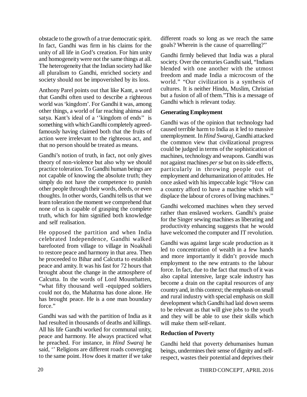obstacle to the growth of a true democratic spirit. In fact, Gandhi was firm in his claims for the unity of all life in God's creation. For him unity and homogeneity were not the same things at all. The heterogeneity that the Indian society had like all pluralism to Gandhi, enriched society and society should not be impoverished by its loss.

Anthony Parel points out that like Kant, a word that Gandhi often used to describe a righteous world was 'kingdom'. For Gandhi it was, among other things, a world of far reaching ahimsa and satya. Kant's ideal of a ''kingdom of ends'' is something with which Gandhi completely agreedfamously having claimed both that the fruits of action were irrelevant to the righteous act, and that no person should be treated as means.

Gandhi's notion of truth, in fact, not only gives theory of non-violence but also why we should practice toleration. To Gandhi human beings are not capable of knowing the absolute truth; they simply do not have the competence to punish other people through their words, deeds, or even thoughts. In other words, Gandhi tells us that we learn toleration the moment we comprehend that none of us is capable of grasping the complete truth, which for him signified both knowledge and self realisation.

He opposed the partition and when India celebrated Independence, Gandhi walked barefooted from village to village in Noakhali to restore peace and harmony in that area. Then he proceeded to Bihar and Calcutta to establish peace and amity. It was his fast for 72 hours that brought about the change in the atmosphere of Calcutta. In the words of Lord Mountbatten, "what fifty thousand well -equipped soldiers could not do, the Mahatma has done alone. He has brought peace. He is a one man boundary force."

Gandhi was sad with the partition of India as it had resulted in thousands of deaths and killings. All his life Gandhi worked for communal unity, peace and harmony. He always practiced what he preached. For instance, in *Hind Swaraj* he said, '' Religions are different roads converging to the same point. How does it matter if we take different roads so long as we reach the same goals? Wherein is the cause of quarrelling?''

Gandhi firmly believed that India was a plural society. Over the centuries Gandhi said, "Indians blended with one another with the utmost freedom and made India a microcosm of the world." "Our civilization is a synthesis of cultures. It is neither Hindu, Muslim, Christian but a fusion of all of them."This is a message of Gandhi which is relevant today.

#### **Generating Employment**

Gandhi was of the opinion that technology had caused terrible harm to India as it led to massive unemployment. In *Hind Swaraj*, Gandhi attacked the common view that civilizational progress could be judged in terms of the sophistication of machines, technology and weapons. Gandhi was not against machines *per se* but on its side effects, particularly in throwing people out of employment and dehumanization of attitudes. He once asked with his impeccable logic "How can a country afford to have a machine which will displace the labour of crores of living machines.''

Gandhi welcomed machines when they served rather than enslaved workers. Gandhi's praise for the Singer sewing machines as liberating and productivity enhancing suggests that he would have welcomed the computer and IT revolution.

Gandhi was against large scale production as it led to concentration of wealth in a few hands and more importantly it didn't provide much employment to the new entrants to the labour force. In fact, due to the fact that much of it was also capital intensive, large scale industry has become a drain on the capital resources of any country and, in this context; the emphasis on small and rural industry with special emphasis on skill development which Gandhi had laid down seems to be relevant as that will give jobs to the youth and they will be able to use their skills which will make them self-reliant.

#### **Reduction of Poverty**

Gandhi held that poverty dehumanises human beings, undermines their sense of dignity and selfrespect, wastes their potential and deprives their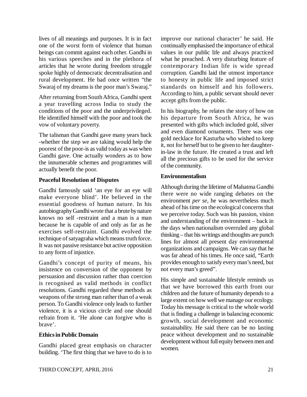lives of all meanings and purposes. It is in fact one of the worst form of violence that human beings can commit against each other. Gandhi in his various speeches and in the plethora of articles that he wrote during freedom struggle spoke highly of democratic decentralisation and rural development. He had once written "the Swaraj of my dreams is the poor man's Swaraj."

After returning from South Africa, Gandhi spent a year travelling across India to study the conditions of the poor and the underprivileged. He identified himself with the poor and took the vow of voluntary poverty.

The talisman that Gandhi gave many years back -whether the step we are taking would help the poorest of the poor-is as valid today as was when Gandhi gave. One actually wonders as to how the innumerable schemes and programmes will actually benefit the poor.

#### **Peaceful Resolution of Disputes**

Gandhi famously said 'an eye for an eye will make everyone blind'. He believed in the essential goodness of human nature. In his autobiography Gandhi wrote that a brute by nature knows no self -restraint and a man is a man because he is capable of and only as far as he exercises self-restraint. Gandhi evolved the technique of satyagraha which means truth force. It was not passive resistance but active opposition to any form of injustice.

Gandhi's concept of purity of means, his insistence on conversion of the opponent by persuasion and discussion rather than coercion is recognised as valid methods in conflict resolutions. Gandhi regarded these methods as weapons of the strong man rather than of a weak person. To Gandhi violence only leads to further violence, it is a vicious circle and one should refrain from it. 'He alone can forgive who is brave'.

#### **Ethics in Public Domain**

Gandhi placed great emphasis on character building. 'The first thing that we have to do is to improve our national character' he said. He continually emphasised the importance of ethical values in our public life and always practiced what he preached. A very disturbing feature of contemporary Indian life is wide spread corruption. Gandhi laid the utmost importance to honesty in public life and imposed strict standards on himself and his followers. According to him, a public servant should never accept gifts from the public.

In his biography, he relates the story of how on his departure from South Africa, he was presented with gifts which included gold, silver and even diamond ornaments. There was one gold necklace for Kasturba who wished to keep it, not for herself but to be given to her daughterin-law in the future. He created a trust and left all the precious gifts to be used for the service of the community.

### **Environmentalism**

Although during the lifetime of Mahatma Gandhi there were no wide ranging debates on the environment *per se*, he was nevertheless much ahead of his time on the ecological concerns that we perceive today. Such was his passion, vision and understanding of the environment – back in the days when nationalism overruled any global thinking – that his writings and thoughts are punch lines for almost all present day environmental organizations and campaigns. We can say that he was far ahead of his times. He once said, "Earth provides enough to satisfy every man's need, but not every man's greed".

His simple and sustainable lifestyle reminds us that we have borrowed this earth from our children and the future of humanity depends to a large extent on how well we manage our ecology. Today his message is critical to the whole world that is finding a challenge in balancing economic growth, social development and economic sustainability. He said there can be no lasting peace without development and no sustainable development without full equity between men and women.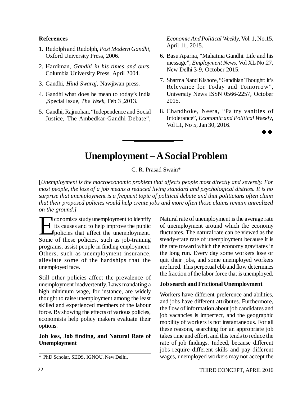#### **References**

- 1. Rudolph and Rudolph, *Post Modern Gandhi*, Oxford University Press, 2006.
- 2. Hardiman, *Gandhi in his times and ours*, Columbia University Press, April 2004.
- 3. Gandhi, *Hind Swaraj*, Nawjiwan press.
- 4. Gandhi what does he mean to today's India ,Special Issue, *The Week*, Feb 3 ,2013.
- 5. Gandhi, Rajmohan, "Independence and Social Justice, The Ambedkar-Gandhi Debate",

*Economic And Political Weekly*, Vol. 1, No.15, April 11, 2015.

- 6. Basu Aparna, "Mahatma Gandhi. Life and his message", *Employment News*, Vol XL No.27, New Delhi 3-9, October 2015.
- 7. Sharma Nand Kishore, "Gandhian Thought: it's Relevance for Today and Tomorrow", University News ISSN 0566-2257, October 2015.
- 8. Chandhoke, Neera, "Paltry vanities of Intolerance", *Economic and Political Weekly*, Vol LI, No 5, Jan 30, 2016.

 $\rightarrow \rightarrow$ 

# **Unemployment – A Social Problem**

C. R. Prasad Swain\*

[*Unemployment is the macroeconomic problem that affects people most directly and severely. For most people, the loss of a job means a reduced living standard and psychological distress. It is no surprise that unemployment is a frequent topic of political debate and that politicians often claim that their proposed policies would help create jobs and more often those claims remain unrealized on the ground.]*

Conomists study unemployment to identify<br>its causes and to help improve the public<br>policies that affect the unemployment.<br>Some of these policies, such as job-training conomists study unemployment to identify its causes and to help improve the public policies that affect the unemployment. programs, assist people in finding employment. Others, such as unemployment insurance, alleviate some of the hardships that the unemployed face.

Still other policies affect the prevalence of unemployment inadvertently. Laws mandating a high minimum wage, for instance, are widely thought to raise unemployment among the least skilled and experienced members of the labour force. By showing the effects of various policies, economists help policy makers evaluate their options.

### **Job loss, Job finding, and Natural Rate of Unemployment**

Natural rate of unemployment is the average rate of unemployment around which the economy fluctuates. The natural rate can be viewed as the steady-state rate of unemployment because it is the rate toward which the economy gravitates in the long run. Every day some workers lose or quit their jobs, and some unemployed workers are hired. This perpetual ebb and flow determines the fraction of the labor force that is unemployed.

### **Job search and Frictional Unemployment**

Workers have different preference and abilities, and jobs have different attributes. Furthermore, the flow of information about job candidates and job vacancies is imperfect, and the geographic mobility of workers is not instantaneous. For all these reasons, searching for an appropriate job takes time and effort, and this tends to reduce the rate of job findings. Indeed, because different jobs require different skills and pay different wages, unemployed workers may not accept the

<sup>\*</sup> PhD Scholar, SEDS, IGNOU, New Delhi.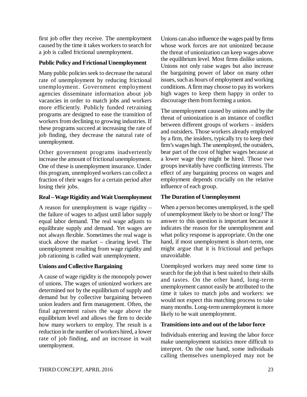first job offer they receive. The unemployment caused by the time it takes workers to search for a job is called frictional unemployment.

#### **Public Policy and Frictional Unemployment**

Many public policies seek to decrease the natural rate of unemployment by reducing frictional unemployment. Government employment agencies disseminate information about job vacancies in order to match jobs and workers more efficiently. Publicly funded retraining programs are designed to ease the transition of workers from declining to growing industries. If these programs succeed at increasing the rate of job finding, they decrease the natural rate of unemployment.

Other government programs inadvertently increase the amount of frictional unemployment. One of these is unemployment insurance. Under this program, unemployed workers can collect a fraction of their wages for a certain period after losing their jobs.

#### **Real – Wage Rigidity and Wait Unemployment**

A reason for unemployment is wage rigidity – the failure of wages to adjust until labor supply equal labor demand. The real wage adjusts to equilibrate supply and demand. Yet wages are not always flexible. Sometimes the real wage is stuck above the market – clearing level. The unemployment resulting from wage rigidity and job rationing is called wait unemployment.

### **Unions and Collective Bargaining**

A cause of wage rigidity is the monopoly power of unions. The wages of unionized workers are determined not by the equilibrium of supply and demand but by collective bargaining between union leaders and firm management. Often, the final agreement raises the wage above the equilibrium level and allows the firm to decide how many workers to employ. The result is a reduction in the number of workers hired, a lower rate of job finding, and an increase in wait unemployment.

Unions can also influence the wages paid by firms whose work forces are not unionized because the threat of unionization can keep wages above the equilibrium level. Most firms dislike unions. Unions not only raise wages but also increase the bargaining power of labor on many other issues, such as hours of employment and working conditions. A firm may choose to pay its workers high wages to keep them happy in order to discourage them from forming a union.

The unemployment caused by unions and by the threat of unionization is an instance of conflict between different groups of workers – insiders and outsiders. Those workers already employed by a firm, the insiders, typically try to keep their firm's wages high. The unemployed, the outsiders, bear part of the cost of higher wages because at a lower wage they might be hired. Those two groups inevitably have conflicting interests. The effect of any bargaining process on wages and employment depends crucially on the relative influence of each group.

### **The Duration of Unemployment**

When a person becomes unemployed, is the spell of unemployment likely to be short or long? The answer to this question is important because it indicates the reason for the unemployment and what policy response is appropriate. On the one hand, if most unemployment is short-term, one might argue that it is frictional and perhaps unavoidable.

Unemployed workers may need some time to search for the job that is best suited to their skills and tastes. On the other hand, long-term unemployment cannot easily be attributed to the time it takes to match jobs and workers: we would not expect this matching process to take many months. Long-term unemployment is more likely to be wait unemployment.

### **Transitions into and out of the labor force**

Individuals entering and leaving the labor force make unemployment statistics more difficult to interpret. On the one hand, some individuals calling themselves unemployed may not be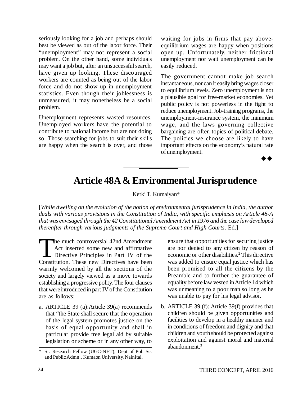seriously looking for a job and perhaps should best be viewed as out of the labor force. Their "unemployment" may not represent a social problem. On the other hand, some individuals may want a job but, after an unsuccessful search, have given up looking. These discouraged workers are counted as being out of the labor force and do not show up in unemployment statistics. Even though their joblessness is unmeasured, it may nonetheless be a social problem.

Unemployment represents wasted resources. Unemployed workers have the potential to contribute to national income but are not doing so. Those searching for jobs to suit their skills are happy when the search is over, and those

waiting for jobs in firms that pay aboveequilibrium wages are happy when positions open up. Unfortunately, neither frictional unemployment nor wait unemployment can be easily reduced.

The government cannot make job search instantaneous, nor can it easily bring wages closer to equilibrium levels. Zero unemployment is not a plausible goal for free-market economies. Yet public policy is not powerless in the fight to reduce unemployment. Job-training programs, the unemployment-insurance system, the minimum wage, and the laws governing collective bargaining are often topics of political debate. The policies we choose are likely to have important effects on the economy's natural rate of unemployment.



## **Article 48A & Environmental Jurisprudence**

### Ketki T. Kumaiyan\*

[*While dwelling on the evolution of the notion of environmental jurisprudence in India, the author deals with various provisions in the Constitution of India, with specific emphasis on Article 48-A that was envisaged through the 42 Constitutional Amendment Act in 1976 and the case law developed thereafter through various judgments of the Supreme Court and High Courts*. Ed.]

 $\prod_{\text{Consti}}$ he much controversial 42nd Amendment Act inserted some new and affirmative Directive Principles in Part IV of the Constitution. These new Directives have been warmly welcomed by all the sections of the society and largely viewed as a move towards establishing a progressive polity. The four clauses that were introduced in part IV of the Constitution are as follows:

a. ARTICLE 39 (a):Article 39(a) recommends that "the State shall secure that the operation of the legal system promotes justice on the basis of equal opportunity and shall in particular provide free legal aid by suitable legislation or scheme or in any other way, to

ensure that opportunities for securing justice are nor denied to any citizen by reason of economic or other disabilities.<sup>2</sup> This directive was added to ensure equal justice which has been promised to all the citizens by the Preamble and to further the guarantee of equality before law vested in Article 14 which was unmeaning to a poor man so long as he was unable to pay for his legal advisor.

b. ARTICLE 39 (f): Article 39(f) provides that children should be given opportunities and facilities to develop in a healthy manner and in conditions of freedom and dignity and that children and youth should be protected against exploitation and against moral and material abandonment.3

<sup>\*</sup> Sr. Research Fellow (UGC-NET), Dept of Pol. Sc. and Public Admn., Kumaon University, Nainital.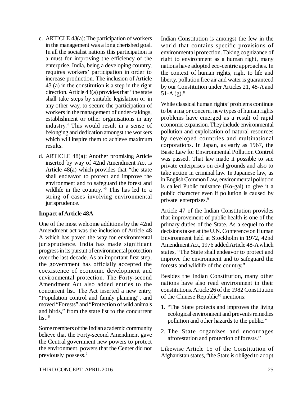- c. ARTICLE 43(a): The participation of workers in the management was a long cherished goal. In all the socialist nations this participation is a must for improving the efficiency of the enterprise. India, being a developing country, requires workers' participation in order to increase production. The inclusion of Article 43 (a) in the constitution is a step in the right direction. Article 43(a) provides that "the state shall take steps by suitable legislation or in any other way, to secure the participation of workers in the management of under-takings, establishment or other organisations in any industry.<sup>4</sup> This would result in a sense of belonging and dedication amongst the workers which will inspire them to achieve maximum results.
- d. ARTICLE 48(a): Another promising Article inserted by way of 42nd Amendment Act is Article 48(a) which provides that "the state shall endeavor to protect and improve the environment and to safeguard the forest and wildlife in the country."<sup>5</sup> This has led to a string of cases involving environmental jurisprudence.

#### **Impact of Article 48A**

One of the most welcome additions by the 42nd Amendment act was the inclusion of Article 48 A which has paved the way for environmental jurisprudence. India has made significant progress in its pursuit of environmental protection over the last decade. As an important first step, the government has officially accepted the coexistence of economic development and environmental protection. The Forty-second Amendment Act also added entries to the concurrent list. The Act inserted a new entry, "Population control and family planning", and moved "Forests" and "Protection of wild animals and birds," from the state list to the concurrent  $list.<sup>6</sup>$ 

Some members of the Indian academic community believe that the Forty-second Amendment gave the Central government new powers to protect the environment, powers that the Center did not previously possess.<sup>7</sup>

Indian Constitution is amongst the few in the world that contains specific provisions of environmental protection. Taking cognizance of right to environment as a human right, many nations have adopted eco-centric approaches. In the context of human rights, right to life and liberty, pollution free air and water is guaranteed by our Constitution under Articles 21, 48-A and 51-A $(g)$ .<sup>8</sup>

While classical human rights' problems continue to be a major concern, new types of human rights problems have emerged as a result of rapid economic expansion. They include environmental pollution and exploitation of natural resources by developed countries and multinational corporations. In Japan, as early as 1967, the Basic Law for Environmental Pollution Control was passed. That law made it possible to sue private enterprises on civil grounds and also to take action in criminal law. In Japanese law, as in English Common Law, environmental pollution is called Public nuisance (Ko-gai) to give it a public character even if pollution is caused by private enterprises.<sup>9</sup>

Article 47 of the Indian Constitution provides that improvement of public health is one of the primary duties of the State. As a sequel to the decisions taken at the U.N. Conference on Human Environment held at Stockholm in 1972, 42nd Amendment Act, 1976 added Article 48-A which states, "The State shall endeavor to protect and improve the environment and to safeguard the forests and wildlife of the country."

Besides the Indian Constitution, many other nations have also read environment in their constitutions. Article 26 of the 1982 Constitution of the Chinese Republic<sup>10</sup> mentions:

- 1. "The State protects and improves the living ecological environment and prevents remedies pollution and other hazards to the public."
- 2. The State organizes and encourages afforestation and protection of forests."

Likewise Article 15 of the Constitution of Afghanistan states, "the State is obliged to adopt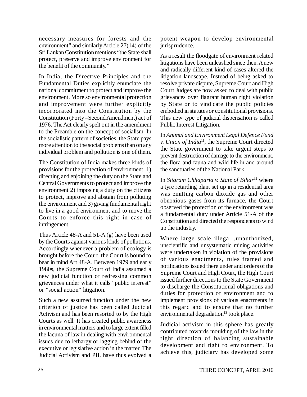necessary measures for forests and the environment" and similarly Article 27(14) of the Sri Lankan Constitution mentions "the State shall protect, preserve and improve environment for the benefit of the community."

In India, the Directive Principles and the Fundamental Duties explicitly enunciate the national commitment to protect and improve the environment. More so environmental protection and improvement were further explicitly incorporated into the Constitution by the Constitution (Forty –Second Amendment) act of 1976. The Act clearly spelt out in the amendment to the Preamble on the concept of socialism. In the socialistic pattern of societies, the State pays more attention to the social problems than on any individual problem and pollution is one of them.

The Constitution of India makes three kinds of provisions for the protection of environment: 1) directing and enjoining the duty on the State and Central Governments to protect and improve the environment 2) imposing a duty on the citizens to protect, improve and abstain from polluting the environment and 3) giving fundamental right to live in a good environment and to move the Courts to enforce this right in case of infringement.

Thus Article 48-A and 51-A (g) have been used by the Courts against various kinds of pollutions. Accordingly whenever a problem of ecology is brought before the Court, the Court is bound to bear in mind Art 48-A. Between 1979 and early 1980s, the Supreme Court of India assumed a new judicial function of redressing common grievances under what it calls "public interest" or "social action" litigation.

Such a new assumed function under the new criterion of justice has been called Judicial Activism and has been resorted to by the High Courts as well. It has created public awareness in environmental matters and to large extent filled the lacuna of law in dealing with environmental issues due to lethargy or lagging behind of the executive or legislative action in the matter. The Judicial Activism and PIL have thus evolved a

potent weapon to develop environmental jurisprudence.

As a result the floodgate of environment related litigations have been unleashed since then. A new and radically different kind of cases altered the litigation landscape. Instead of being asked to resolve private dispute, Supreme Court and High Court Judges are now asked to deal with public grievances over flagrant human right violation by State or to vindicate the public policies embodied in statutes or constitutional provisions. This new type of judicial dispensation is called Public Interest Litigation.

In *Animal and Environment Legal Defence Fund v. Union of India*<sup>11</sup>, the Supreme Court directed the State government to take urgent steps to prevent destruction of damage to the environment, the flora and fauna and wild life in and around the sanctuaries of the National Park.

In *Sitaram Chhaparia v. State of Bihar*<sup>12</sup> where a tyre retarding plant set up in a residential area was emitting carbon dioxide gas and other obnoxious gases from its furnace, the Court observed the protection of the environment was a fundamental duty under Article 51-A of the Constitution and directed the respondents to wind up the industry.

Where large scale illegal ,unauthorized, unscientific and unsystematic mining activities were undertaken in violation of the provisions of various enactments, rules framed and notifications issued there under and orders of the Supreme Court and High Court, the High Court issued further directions to the State Government to discharge the Constitutional obligations and duties for protection of environment and to implement provisions of various enactments in this regard and to ensure that no further environmental degradation $13$  took place.

Judicial activism in this sphere has greatly contributed towards moulding of the law in the right direction of balancing sustainable development and right to environment. To achieve this, judiciary has developed some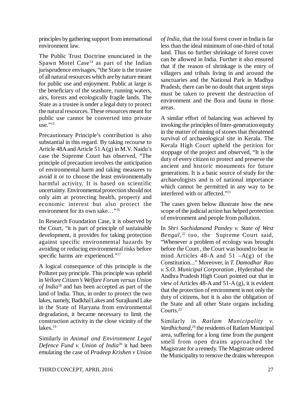principles by gathering support from international environment law.

The Public Trust Doctrine enunciated in the Spawn Motel Case<sup>14</sup> as part of the Indian jurisprudence envisages, "the State is the trustee of all natural resources which are by nature meant for public use and enjoyment. Public at large is the beneficiary of the seashore, running waters, airs, forests and ecologically fragile lands. The State as a trustee is under a legal duty to protect the natural resources. These resources meant for public use cannot be converted into private  $_{\text{use}}$ ."15

Precautionary Principle's contribution is also substantial in this regard. By taking recourse to Article 48A and Article 51 A (g) in M.V. Naidu's case the Supreme Court has observed, "The principle of precaution involves the anticipation of environmental harm and taking measures to avoid it or to choose the least environmentally harmful activity. It is based on scientific uncertainty. Environmental protection should not only aim at protecting health, property and economic interest but also protect the environment for its own sake..."<sup>16</sup>

In Research Foundation Case, it is observed by the Court, "it is part of principle of sustainable development, it provides for taking protection against specific environmental hazards by avoiding or reducing environmental risks before specific harms are experienced."<sup>17</sup>

A logical consequence of this principle is the Polluter pay principle. This principle was upheld in *Vellore Citizen's Welfare Forum versus Union of India*<sup>18</sup> and has been accepted as part of the land of India. Thus, in order to protect the two lakes, namely, Badkhal Lakes and Surajkund Lake in the State of Haryana from environmental degradation, it became necessary to limit the construction activity in the close vicinity of the  $lakes.<sup>19</sup>$ 

Similarly in *Animal and Environment Legal Defence Fund v. Union of India*<sup>20</sup> it had been emulating the case of *Pradeep Krishen v Union* *of India*, that the total forest cover in India is far less than the ideal minimum of one-third of total land. Thus no further shrinkage of forest cover can be allowed in India. Further it also ensured that if the reason of shrinkage is the entry of villagers and tribals living in and around the sanctuaries and the National Park in Madhya Pradesh, there can be no doubt that urgent steps must be taken to prevent the destruction of environment and the flora and fauna in those areas.

A similar effort of balancing was achieved by invoking the principles of Inter-generation equity in the matter of mining of stones that threatened survival of archaeological site in Kerala. The Kerala High Court upheld the petition for stoppage of the project and observed, "It is the duty of every citizen to protect and preserve the ancient and historic monuments for future generations. It is a basic source of study for the archaeologists and is of national importance which cannot be permitted in any way to be interfered with or affected."<sup>21</sup>

The cases given below illustrate how the new scope of the judicial action has helped protection of environment and people from pollution.

In *Shri Sachidanand Pandey v. State of West Bengal*, <sup>22</sup> too, the Supreme Court said, "Whenever a problem of ecology was brought before the Court , the Court was bound to bear in mind Articles 48-A and 51  $-A(g)$  of the Constitution..." Moreover, in *T. Damodhar Rao v. S.O. Municipal Corporation* , Hyderabad the Andhra Pradesh High Court pointed out that in view of Articles 48-A and  $51-A(g)$ , it is evident that the protection of environment is not only the duty of citizens, but it is also the obligation of the State and all other State organs including Courts.<sup>23</sup>

Similarly in *Ratlam Municipality v. Vardhichand*, <sup>24</sup> the residents of Ratlam Municipal area, suffering for a long time from the pungent smell from open drains approached the Magistrate for a remedy. The Magistrate ordered the Municipality to remove the drains whereupon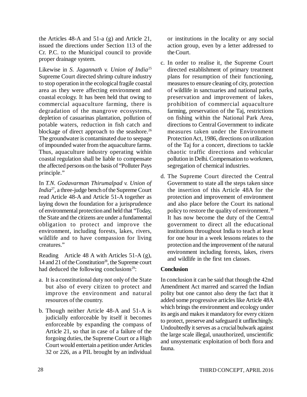the Articles 48-A and 51-a (g) and Article 21, issued the directions under Section 113 of the Cr. P.C. to the Municipal council to provide proper drainage system.

Likewise in *S. Jagannath v. Union of India*<sup>25</sup> Supreme Court directed shrimp culture industry to stop operation in the ecological fragile coastal area as they were affecting environment and coastal ecology. It has been held that owing to commercial aquaculture farming, there is degradation of the mangrove ecosystems, depletion of casuarinas plantation, pollution of potable waters, reduction in fish catch and blockage of direct approach to the seashore.<sup>26</sup> The groundwater is contaminated due to seepage of impounded water from the aquaculture farms. Thus, aquaculture industry operating within coastal regulation shall be liable to compensate the affected persons on the basis of "Polluter Pays principle."

In *T.N. Godavarman Thirumalpad v. Union of India*<sup>27</sup>, a three-judge bench of the Supreme Court read Article 48-A and Article 51-A together as laying down the foundation for a jurisprudence of environmental protection and held that "Today, the State and the citizens are under a fundamental obligation to protect and improve the environment, including forests, lakes, rivers, wildlife and to have compassion for living creatures."

Reading Article 48 A with Articles 51-A (g), 14 and 21 of the Constitution<sup>28</sup>, the Supreme court had deduced the following conclusions $29$ :

- a. It is a constitutional duty not only of the State but also of every citizen to protect and improve the environment and natural resources of the country.
- b. Though neither Article 48-A and 51-A is judicially enforceable by itself it becomes enforceable by expanding the compass of Article 21, so that in case of a failure of the forgoing duties, the Supreme Court or a High Court would entertain a petition under Articles 32 or 226, as a PIL brought by an individual

or institutions in the locality or any social action group, even by a letter addressed to the Court.

- c. In order to realise it, the Supreme Court directed establishment of primary treatment plans for resumption of their functioning, measures to ensure cleaning of city, protection of wildlife in sanctuaries and national parks, preservation and improvement of lakes, prohibition of commercial aquaculture farming, preservation of the Taj, restrictions on fishing within the National Park Area, directions to Central Government to indicate measures taken under the Environment Protection Act, 1986, directions on utilization of the Taj for a concert, directions to tackle chaotic traffic directions and vehicular pollution in Delhi. Compensation to workmen, segregation of chemical industries.
- d. The Supreme Court directed the Central Government to state all the steps taken since the insertion of this Article 48A for the protection and improvement of environment and also place before the Court its national policy to restore the quality of environment.<sup>30</sup> It has now become the duty of the Central government to direct all the educational institutions throughout India to teach at least for one hour in a week lessons relates to the protection and the improvement of the natural environment including forests, lakes, rivers and wildlife in the first ten classes.

### **Conclusion**

In conclusion it can be said that though the 42nd Amendment Act marred and scarred the Indian polity but one cannot also deny the fact that it added some progressive articles like Article 48A which brings the environment and ecology under its aegis and makes it mandatory for every citizen to protect, preserve and safeguard it unflinchingly. Undoubtedly it serves as a crucial bulwark against the large scale illegal, unauthorized, unscientific and unsystematic exploitation of both flora and fauna.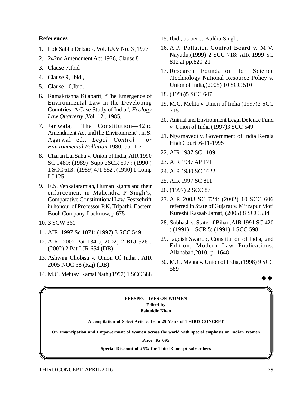#### **References**

- 1. Lok Sabha Debates, Vol. LXV No. 3 ,1977
- 2. 242nd Amendment Act,1976, Clause 8
- 3. Clause 7,Ibid
- 4. Clause 9, Ibid.,
- 5. Clause 10,Ibid.,
- 6. Ramakrishna Kilaparti, "The Emergence of Environmental Law in the Developing Countries: A Case Study of India", *Ecology Law Quarterly* ,Vol. 12 , 1985.
- 7. Jariwala, "The Constitution—42nd Amendment Act and the Environment", in S. Agarwal ed., *Legal Control or Environmental Pollution* 1980, pp. 1-7
- 8. Charan Lal Sahu v. Union of India, AIR 1990 SC 1480: (1989) Supp 2SCR 597 : (1990 ) 1 SCC 613 : (1989) 4JT 582 : (1990) 1 Comp LJ 125
- 9. E.S. Venkataramiah, Human Rights and their enforcement in Mahendra P Singh's, Comparative Constitutional Law-Festschrift in honour of Professor P.K. Tripathi, Eastern Book Company, Lucknow, p.675
- 10. 3 SCW 361
- 11. AIR 1997 Sc 1071: (1997) 3 SCC 549
- 12. AIR 2002 Pat 134 :( 2002) 2 BLJ 526 : (2002) 2 Pat LJR 654 (DB)
- 13. Ashwini Chobisa v. Union Of India , AIR 2005 NOC 58 (Raj) (DB)
- 14. M.C. Mehtav. Kamal Nath,(1997) 1 SCC 388
- 15. Ibid., as per J. Kuldip Singh,
- 16. A.P. Pollution Control Board v. M.V. Nayudu,(1999) 2 SCC 718: AIR 1999 SC 812 at pp.820-21
- 17. Research Foundation for Science ,Technology National Resource Policy v. Union of India,(2005) 10 SCC 510
- 18. (1996)5 SCC 647
- 19. M.C. Mehta v Union of India (1997)3 SCC 715
- 20. Animal and Environment Legal Defence Fund v. Union of India (1997)3 SCC 549
- 21. Niyamavedi v. Government of India Kerala High Court ,6-11-1995
- 22. AIR 1987 SC 1109
- 23. AIR 1987 AP 171
- 24. AIR 1980 SC 1622
- 25. AIR 1997 SC 811
- 26. (1997) 2 SCC 87
- 27. AIR 2003 SC 724: (2002) 10 SCC 606 referred in State of Gujarat v. Mirzapur Moti Kureshi Kassab Jamat, (2005) 8 SCC 534
- 28. Subhash v. State of Bihar ,AIR 1991 SC 420 : (1991) 1 SCR 5: (1991) 1 SCC 598
- 29. Jagdish Swarup, Constitution of India, 2nd Edition, Modern Law Publications, Allahabad,2010, p. 1648
- 30. M.C. Mehta v. Union of India, (1998) 9 SCC 589

 $\rightarrow \rightarrow$ 

#### **PERSPECTIVES ON WOMEN Edited by Babuddin Khan**

#### **A compilation of Select Articles from 25 Years of THIRD CONCEPT**

**On Emancipation and Empowerment of Women across the world with special emphasis on Indian Women**

#### **Price: Rs 695**

**Special Discount of 25% for Third Concept subscribers**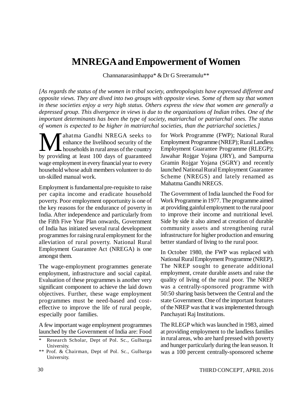## **MNREGA and Empowerment of Women**

Channanarasimhappa\* & Dr G Sreeramulu\*\*

*[As regards the status of the women in tribal society, anthropologists have expressed different and opposite views. They are dived into two groups with opposite views. Some of them say that women in these societies enjoy a very high status. Others express the view that women are generally a depressed group. This divergence in views is due to the organizations of Indian tribes. One of the important determinants has been the type of society, matriarchal or patriarchal ones. The status of women is expected to be higher in matriarchal societies, than the patriarchal societies.]*

**M** ahatma Gandhi NREGA seeks to enhance the livelihood security of the households in rural areas of the country by providing at least 100 days of guaranteed ahatma Gandhi NREGA seeks to enhance the livelihood security of the households in rural areas of the country wage employment in every financial year to every household whose adult members volunteer to do un-skilled manual work.

Employment is fundamental pre-requisite to raise per capita income and eradicate household poverty. Poor employment opportunity is one of the key reasons for the endurance of poverty in India. After independence and particularly from the Fifth Five Year Plan onwards, Government of India has initiated several rural development programmes for raising rural employment for the alleviation of rural poverty. National Rural Employment Guarantee Act (NREGA) is one amongst them.

The wage-employment programmes generate employment, infrastructure and social capital. Evaluation of these programmes is another very significant component to achieve the laid down objectives. Further, these wage employment programmes must be need-based and costeffective to improve the life of rural people, especially poor families.

A few important wage employment programmes launched by the Government of India are: Food for Work Programme (FWP); National Rural Employment Programme (NREP); Rural Landless Employment Guarantee Programme (RLEGP); Jawahar Rojgar Yojana (JRY), and Sampurna Gramin Rojgar Yojana (SGRY) and recently launched National Rural Employment Guarantee Scheme (NREGS) and lately renamed as Mahatma Gandhi NREGS.

The Government of India launched the Food for Work Programme in 1977. The programme aimed at providing gainful employment to the rural poor to improve their income and nutritional level. Side by side it also aimed at creation of durable community assets and strengthening rural infrastructure for higher production and ensuring better standard of living to the rural poor.

In October 1980, the FWP was replaced with National Rural Employment Programme (NREP). The NREP sought to generate additional employment, create durable assets and raise the quality of living of the rural poor. The NREP was a centrally-sponsored programme with 50:50 sharing basis between the Central and the state Government. One of the important features of the NREP was that it was implemented through Panchayati Raj Institutions.

The RLEGP which was launched in 1983, aimed at providing employment to the landless families in rural areas, who are hard pressed with poverty and hunger particularly during the lean season. It was a 100 percent centrally-sponsored scheme

Research Scholar, Dept of Pol. Sc., Gulbarga University.

<sup>\*\*</sup> Prof. & Chairman, Dept of Pol. Sc., Gulbarga University.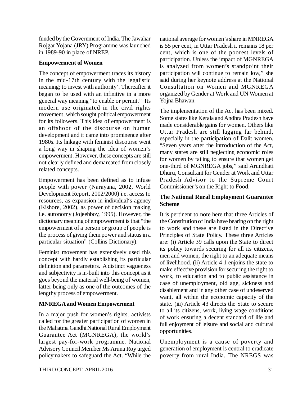funded by the Government of India. The Jawahar Rojgar Yojana (JRY) Programme was launched in 1989-90 in place of NREP.

#### **Empowerment of Women**

The concept of empowerment traces its history in the mid-17th century with the legalistic meaning; to invest with authority'. Thereafter it began to be used with an infinitive in a more general way meaning "to enable or permit." Its modern use originated in the civil rights movement, which sought political empowerment for its followers. This idea of empowerment is an offshoot of the discourse on human development and it came into prominence after 1980s. Its linkage with feminist discourse went a long way in shaping the idea of women's empowerment. However, these concepts are still not clearly defined and demarcated from closely related concepts.

Empowerment has been defined as to infuse people with power (Narayana, 2002, World Development Report, 2002/2000) i.e. access to resources, as expansion in individual's agency (Kishore, 2002), as power of decision making i.e. autonomy (Jojeebboy, 1995). However, the dictionary meaning of empowerment is that "the empowerment of a person or group of people is the process of giving them power and status in a particular situation" (Collins Dictionary).

Feminist movement has extensively used this concept with hardly establishing its particular definition and parameters. A distinct vagueness and subjectivity is in-built into this concept as it goes beyond the material well-being of women, latter being only as one of the outcomes of the lengthy process of empowerment.

### **MNREGA and Women Empowerment**

In a major push for women's rights, activists called for the greater participation of women in the Mahatma Gandhi National Rural Employment Guarantee Act (MGNREGA), the world's largest pay-for-work programme. National Advisory Council Member Ms Aruna Roy urged policymakers to safeguard the Act. "While the national average for women's share in MNREGA is 55 per cent, in Uttar Pradesh it remains 18 per cent, which is one of the poorest levels of participation. Unless the impact of MGNREGA is analyzed from women's standpoint their participation will continue to remain low," she said during her keynote address at the National Consultation on Women and MGNREGA organized by Gender at Work and UN Women at Yojna Bhawan.

The implementation of the Act has been mixed. Some states like Kerala and Andhra Pradesh have made considerable gains for women. Others like Uttar Pradesh are still lagging far behind, especially in the participation of Dalit women. "Seven years after the introduction of the Act, many states are still neglecting economic roles for women by failing to ensure that women get one-third of MGNREGA jobs," said Arundhati Dhuru, Consultant for Gender at Work and Uttar Pradesh Advisor to the Supreme Court Commissioner's on the Right to Food.

### **The National Rural Employment Guarantee Scheme**

It is pertinent to note here that three Articles of the Constitution of India have bearing on the right to work and these are listed in the Directive Principles of State Policy. These three Articles are: (i) Article 39 calls upon the State to direct its policy towards securing for all its citizens, men and women, the right to an adequate means of livelihood. (ii) Article 4 1 enjoins the state to make effective provision for securing the right to work, to education and to public assistance in case of unemployment, old age, sickness and disablement and in any other case of undeserved want, all within the economic capacity of the state. (iii) Article 43 directs the State to secure to all its citizens, work, living wage conditions of work ensuring a decent standard of life and full enjoyment of leisure and social and cultural opportunities.

Unemployment is a cause of poverty and generation of employment is central to eradicate poverty from rural India. The NREGS was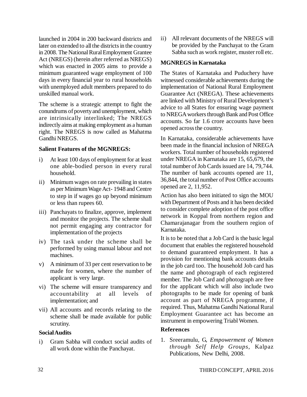launched in 2004 in 200 backward districts and later on extended to all the districts in the country in 2008. The National Rural Employment Grantee Act (NREGS) (herein after referred as NREGS) which was enacted in 2005 aims to provide a minimum guaranteed wage employment of 100 days in every financial year to rural households with unemployed adult members prepared to do unskilled manual work.

The scheme is a strategic attempt to fight the conundrums of poverty and unemployment, which are intrinsically interlinked; The NREGS indirectly aims at making employment as a human right. The NREGS is now called as Mahatma Gandhi NREGS.

#### **Salient Features of the MGNREGS:**

- i) At least 100 days of employment for at least one able-bodied person in every rural household.
- ii) Minimum wages on rate prevailing in states as per Minimum Wage Act- 1948 and Centre to step in if wages go up beyond minimum or less than rupees 60.
- iii) Panchayats to finalize, approve, implement and monitor the projects. The scheme shall not permit engaging any contractor for implementation of the projects
- iv) The task under the scheme shall be performed by using manual labour and not machines.
- v) A minimum of 33 per cent reservation to be made for women, where the number of applicant is very large.
- vi) The scheme will ensure transparency and accountability at all levels of implementation; and
- vii) All accounts and records relating to the scheme shall be made available for public scrutiny.

#### **Social Audits**

i) Gram Sabha will conduct social audits of all work done within the Panchayat.

ii) All relevant documents of the NREGS will be provided by the Panchayat to the Gram Sabha such as work register, muster roll etc.

### **MGNREGS in Karnataka**

The States of Karnataka and Puduchery have witnessed considerable achievements during the implementation of National Rural Employment Guarantee Act (NREGA). These achievements are linked with Ministry of Rural Development's advice to all States for ensuring wage payment to NREGA workers through Bank and Post Office accounts. So far 1.6 crore accounts have been opened across the country.

In Karnataka, considerable achievements have been made in the financial inclusion of NREGA workers. Total number of households registered under NREGA in Karnataka are 15, 65,679, the total number of Job Cards issued are 14, 79,744. The number of bank accounts opened are 11, 36,844, the total number of Post Office accounts opened are 2, 11,952.

Action has also been initiated to sign the MOU with Department of Posts and it has been decided to consider complete adoption of the post office network in Koppal from northern region and Chamarajanagar from the southern region of Karnataka.

It is to be noted that a Job Card is the basic legal document that enables the registered household to demand guaranteed employment. It has a provision for mentioning bank accounts details in the job card too. The household Job card has the name and photograph of each registered member. The Job Card and photograph are free for the applicant which will also include two photographs to be made for opening of bank account as part of NREGA programme, if required. Thus, Mahatma Gandhi National Rural Employment Guarantee act has become an instrument in empowering Triabl Women.

### **References**

1. Sreeramulu, G, *Empowerment of Women through Self Help Groups*, Kalpaz Publications, New Delhi, 2008.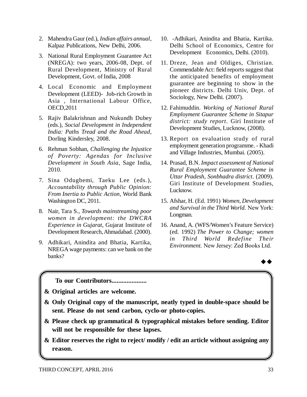- 2. Mahendra Gaur (ed.), *Indian affairs annual*, Kalpaz Publications, New Delhi, 2006.
- 3. National Rural Employment Guarantee Act (NREGA): two years, 2006-08, Dept. of Rural Development, Ministry of Rural Development, Govt. of India, 2008
- 4. Local Economic and Employment Development (LEED)- Job-rich Growth in Asia , International Labour Office, OECD,2011
- 5. Rajiv Balakrishnan and Nukundh Dubey (eds.), *Social Development in Independent India: Paths Tread and the Road Ahead*, Dorling Kindersley, 2008.
- 6. Rehman Sobhan, *Challenging the Injustice of Poverty: Agendas for Inclusive Development in South Asia*, Sage India, 2010.
- 7. Sina Odugbemi, Taeku Lee (eds.), *Accountability through Public Opinion: From Inertia to Public Action*, World Bank Washington DC, 2011.
- 8. Nair, Tara S., *Towards mainstreaming poor women in development: the DWCRA Experience in Gujarat*, Gujarat Institute of Development Research, Ahmadabad. (2000).
- 9. Adhikari, Anindita and Bhatia, Kartika, NREGA wage payments: can we bank on the banks?
- 10. -Adhikari, Anindita and Bhatia, Kartika. Delhi School of Economics, Centre for Development Economics, Delhi. (2010).
- 11. Dreze, Jean and Oldiges, Christian. Commendable Act: field reports suggest that the anticipated benefits of employment guarantee are beginning to show in the pioneer districts. Delhi Univ, Dept. of Sociology, New Delhi. (2007).
- 12. Fahimuddin. *Working of National Rural Employment Guarantee Scheme in Sitapur district: study report*. Giri Institute of Development Studies, Lucknow, (2008).
- 13. Report on evaluation study of rural employment generation programme. - Khadi and Village Industries, Mumbai. (2005).
- 14. Prasad, B.N. *Impact assessment of National Rural Employment Guarantee Scheme in Uttar Pradesh, Sonbhadra district*. (2009). Giri Institute of Development Studies, Lucknow.
- 15. Afshar, H. (Ed. 1991) *Women, Development and Survival in the Third World.* New York: Longman.
- 16. Anand, A. (WFS/Women's Feature Service) (ed. 1992) *The Power to Change; women in Third World Redefine Their Environment.* New Jersey: Zed Books Ltd.



**To our Contributors.....................**

**& Original articles are welcome.**

- **& Only Original copy of the manuscript, neatly typed in double-space should be sent. Please do not send carbon, cyclo-or photo-copies.**
- **& Please check up grammatical & typographical mistakes before sending. Editor will not be responsible for these lapses.**
- **& Editor reserves the right to reject/ modify / edit an article without assigning any reason.**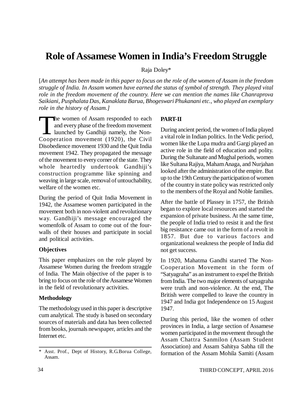## **Role of Assamese Women in India's Freedom Struggle**

Raja Doley\*

[*An attempt has been made in this paper to focus on the role of the women of Assam in the freedom struggle of India. In Assam women have earned the status of symbol of strength. They played vital role in the freedom movement of the country. Here we can mention the names like Chanraprova Saikiani, Pusphalata Das, Kanaklata Barua, Bhogeswari Phukanani etc., who played an exemplary role in the history of Assam.]*

The women of Assam responded to each<br>and every phase of the freedom movement<br>launched by Gandhiji namely, the Non-<br>Cooperation movement (1920), the Civil he women of Assam responded to each and every phase of the freedom movement launched by Gandhiji namely, the Non-Disobedience movement 1930 and the Quit India movement 1942. They propagated the message of the movement to every corner of the state. They whole heartedly undertook Gandhiji's construction programme like spinning and weaving in large scale, removal of untouchability, welfare of the women etc.

During the period of Quit India Movement in 1942, the Assamese women participated in the movement both in non-violent and revolutionary way. Gandhiji's message encouraged the womenfolk of Assam to come out of the fourwalls of their houses and participate in social and political activities.

#### **Objectives**

This paper emphasizes on the role played by Assamese Women during the freedom straggle of India. The Main objective of the paper is to bring to focus on the role of the Assamese Women in the field of revolutionary activities.

#### **Methodology**

The methodology used in this paper is descriptive cum analytical. The study is based on secondary sources of materials and data has been collected from books, journals newspaper, articles and the Internet etc.

#### **PART-II**

During ancient period, the women of India played a vital role in Indian politics. In the Vedic period, women like the Lupa mudra and Gargi played an active role in the field of education and polity. During the Sultanate and Mughal periods, women like Sultana Rajiya, Maham Anaga, and Nurjahan looked after the administration of the empire. But up to the 19th Century the participation of women of the country in state policy was restricted only to the members of the Royal and Noble families.

After the battle of Plassey in 1757, the British began to explore local resources and started the expansion of private business. At the same time, the people of India tried to resist it and the first big resistance came out in the form of a revolt in 1857. But due to various factors and organizational weakness the people of India did not get success.

In 1920, Mahatma Gandhi started The Non-Cooperation Movement in the form of "Satyagraha" as an instrument to expel the British from India. The two major elements of satyagraha were truth and non-violence. At the end, The British were compelled to leave the country in 1947 and India got Independence on 15 August 1947.

During this period, like the women of other provinces in India, a large section of Assamese women participated in the movement through the Assam Chattra Sanmilon (Assam Student Association) and Assam Sahitya Sabha till the formation of the Assam Mohila Samiti (Assam

<sup>\*</sup> Asst. Prof., Dept of History, R.G.Borua College, Assam.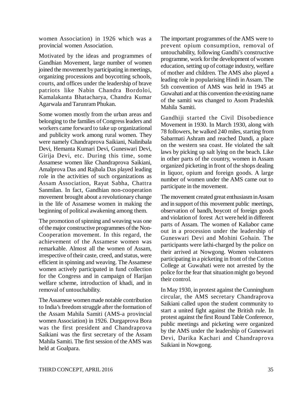women Association) in 1926 which was a provincial women Association.

Motivated by the ideas and programmes of Gandhian Movement, large number of women joined the movement by participating in meetings, organizing processions and boycotting schools, courts, and offices under the leadership of brave patriots like Nabin Chandra Bordoloi, Kamalakanta Bhatacharya, Chandra Kumar Agarwala and Tarunram Phukan.

Some women mostly from the urban areas and belonging to the families of Congress leaders and workers came forward to take up organizational and publicity work among rural women. They were namely Chandraprova Saikiani, Nalinibala Devi, Hemanta Kumari Devi, Guneswari Devi, Girija Devi, etc. During this time, some Assamese women like Chandraprova Saikiani, Amalprova Das and Rajbala Das played leading role in the activities of such organizations as Assam Association, Rayat Sabha, Chattra Sanmilan. In fact, Gandhian non-cooperation movement brought about a revolutionary change in the life of Assamese women in making the beginning of political awakening among them.

The promotion of spinning and weaving was one of the major constructive programmes of the Non-Cooperation movement. In this regard, the achievement of the Assamese women was remarkable. Almost all the women of Assam, irrespective of their caste, creed, and status, were efficient in spinning and weaving. The Assamese women actively participated in fund collection for the Congress and in campaign of Harijan welfare scheme, introduction of khadi, and in removal of untouchability.

The Assamese women made notable contribution to India's freedom struggle after the formation of the Assam Mahila Samiti (AMS-a provincial women Association) in 1926. Durgaprova Bora was the first president and Chandraprova Saikiani was the first secretary of the Assam Mahila Samiti. The first session of the AMS was held at Goalpara.

The important programmes of the AMS were to prevent opium consumption, removal of untouchability, following Gandhi's constructive programme, work for the development of women education, setting up of cottage industry, welfare of mother and children. The AMS also played a leading role in popularising Hindi in Assam. The 5th convention of AMS was held in 1945 at Guwahati and at this convention the existing name of the samiti was changed to Asom Pradeshik Mahila Samiti.

Gandhiji started the Civil Disobedience Movement in 1930. In March 1930, along with 78 followers, he walked 240 miles, starting from Sabarmati Ashram and reached Dandi, a place on the western sea coast. He violated the salt laws by picking up salt lying on the beach. Like in other parts of the country, women in Assam organized picketing in front of the shops dealing in liquor, opium and foreign goods. A large number of women under the AMS came out to participate in the movement.

The movement created great enthusiasm in Assam and in support of this movement public meetings, observation of bandh, boycott of foreign goods and violation of forest Act were held in different parts of Assam. The women of Kaliabor came out in a procession under the leadership of Guneswari Devi and Mohini Gohain. The participants were lathi-charged by the police on their arrived at Nowgong. Women volunteers participating in a picketing in front of the Cotton College at Guwahati were not arrested by the police for the fear that situation might go beyond their control.

In May 1930, in protest against the Cunninghum circular, the AMS secretary Chandraprova Saikiani called upon the student community to start a united fight against the British rule. In protest against the first Round Table Conference, public meetings and picketing were organized by the AMS under the leadership of Guneswari Devi, Darika Kachari and Chandraprova Saikiani in Nowgong.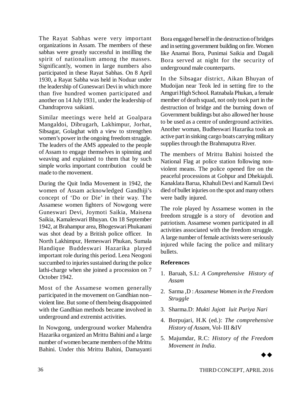The Rayat Sabhas were very important organizations in Assam. The members of these sabhas were greatly successful in instilling the spirit of nationalism among the masses. Significantly, women in large numbers also participated in these Rayat Sabhas. On 8 April 1930, a Rayat Sabha was held in Noduar under the leadership of Guneswari Devi in which more than five hundred women participated and another on 14 July 1931, under the leadership of Chandraprova saikiani.

Similar meetings were held at Goalpara Mangaldoi, Dibrugarh, Lakhimpur, Jorhat, Sibsagar, Golaghat with a view to strengthen women's power in the ongoing freedom struggle. The leaders of the AMS appealed to the people of Assam to engage themselves in spinning and weaving and explained to them that by such simple works important contribution could be made to the movement.

During the Quit India Movement in 1942, the women of Assam acknowledged Gandhiji's concept of 'Do or Die' in their way. The Assamese women fighters of Nowgong were Guneswari Devi, Joymoti Saikia, Maisena Saikia, Kamaleswari Bhuyan. On 18 September 1942, at Brahampur area, Bhogeswari Phukanani was shot dead by a British police officer. In North Lakhimpur, Hemeswari Phukan, Sumala Handique Buddeswari Hazarika played important role during this period. Leea Neogoni succumbed to injuries sustained during the police lathi-charge when she joined a procession on 7 October 1942.

Most of the Assamese women generally participated in the movement on Gandhian non– violent line. But some of them being disappointed with the Gandhian methods became involved in underground and extremist activities.

In Nowgong, underground worker Mahendra Hazarika organized an Mrittu Bahini and a large number of women became members of the Mrittu Bahini. Under this Mrittu Bahini, Damayanti Bora engaged herself in the destruction of bridges and in setting government building on fire. Women like Anamai Bora, Punimai Saikia and Dagali Bora served at night for the security of underground male counterparts.

In the Sibsagar district, Aikan Bhuyan of Mudoijan near Teok led in setting fire to the Amguri High School. Ratnabala Phukan, a female member of death squad, not only took part in the destruction of bridge and the burning down of Government buildings but also allowed her house to be used as a centre of underground activities. Another woman, Budheswari Hazarika took an active part in sinking cargo boats carrying military supplies through the Brahmaputra River.

The members of Mrittu Bahini hoisted the National Flag at police station following nonviolent means. The police opened fire on the peaceful processions at Gohpur and Dhekiajuli. Kanaklata Barua, Khahuli Devi and Kamuli Devi died of bullet injuries on the spot and many others were badly injured.

The role played by Assamese women in the freedom struggle is a story of devotion and patriotism. Assamese women participated in all activities associated with the freedom struggle. A large number of female activists were seriously injured while facing the police and military bullets.

### **References**

- 1. Baruah, S.L: *A Comprehensive History of Assam*
- 2. Sarma ,D : *Assamese Women in the Freedom Struggle*
- 3. Sharma.D: *Mukti Jujott luit Puriya Nari*
- 4. Borpujari, H.K (ed.): *The comprehensive History of Assam*, Vol- III &IV
- 5. Majumdar, R.C: *History of the Freedom Movement in India*.

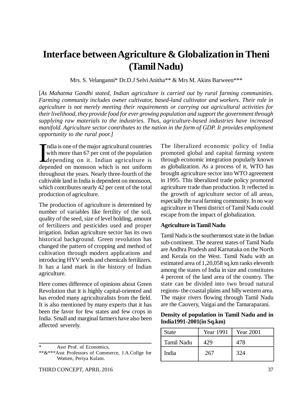# **Interface between Agriculture & Globalization in Theni (Tamil Nadu)**

Mrs. S. Velanganni\* Dr.D.J Selvi Anitha\*\* & Mrs M. Akins Barween\*\*\*

[*As Mahatma Gandhi stated, Indian agriculture is carried out by rural farming communities. Farming community includes owner cultivator, based-land cultivator and workers. Their role in agriculture is not merely meeting their requirements or carrying out agricultural activities for their livelihood, they provide food for ever growing population and support the government through supplying raw materials to the industries. Thus, agriculture-based industries have increased manifold. Agriculture sector contributes to the nation in the form of GDP. It provides employment opportunity to the rural poor.]*

 $\prod_{\text{den}}$ ndia is one of the major agricultural countries with more than 67 per cent of the population depending on it. Indian agriculture is depended on monsoon which is not uniform throughout the years. Nearly three-fourth of the cultivable land in India is dependent on monsoon, which contributes nearly 42 per cent of the total production of agriculture.

The production of agriculture is determined by number of variables like fertility of the soil, quality of the seed, size of level holding, amount of fertilizers and pesticides used and proper irrigation. Indian agriculture sector has its own historical background. Green revolution has changed the pattern of cropping and method of cultivation through modern applications and introducing HYV seeds and chemicals fertilizers. It has a land mark in the history of Indian agriculture.

Here comes difference of opinions about Green Revolution that it is highly capital-oriented and has eroded many agriculturalists from the field. It is also mentioned by many experts that it has been the favor for few states and few crops in India. Small and marginal farmers have also been affected severely.

The liberalized economic policy of India promoted global and capital farming system through economic integration popularly known as globalization. As a process of it, WTO has brought agriculture sector into WTO agreement in 1995. This liberalized trade policy promoted agriculture trade than production. It reflected in the growth of agriculture sector of all areas, especially the rural farming community. In no way agriculture in Theni district of Tamil Nadu could escape from the impact of globalization.

#### **Agriculture in Tamil Nadu**

Tamil Nadu is the southernmost state in the Indian sub-continent. The nearest states of Tamil Nadu are Andhra Pradesh and Karnataka on the North and Kerala on the West. Tamil Nadu with an estimated area of 1,20,058 sq.km ranks eleventh among the states of India in size and constitutes 4 percent of the land area of the country. The state can be divided into two broad natural regions- the coastal plains and hilly western area. The major rivers flowing through Tamil Nadu are the Cauvery, Vaigai and the Tamaraparani.

**Density of population in Tamil Nadu and in India1991-2001(in Sq.km)**

| <b>State</b>      | <b>Year 1991</b> | <b>Year 2001</b> |
|-------------------|------------------|------------------|
| <b>Tamil Nadu</b> | 429              | 478              |
| India             | 267              | 324              |

Asst Prof. of Economics,

<sup>\*\*&</sup>amp;\*\*\*Asst Professors of Commerce, J.A.Collge for Women, Periya Kulam.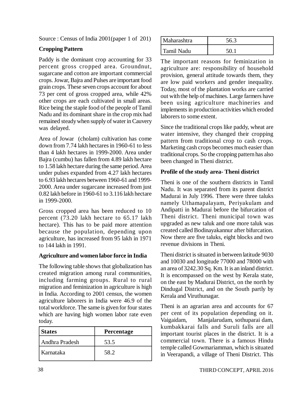Source : Census of India 2001(paper 1 of 201)

### **Cropping Pattern**

Paddy is the dominant crop accounting for 33 percent gross cropped area. Groundnut, sugarcane and cotton are important commercial crops. Jowar, Bajra and Pulses are important food grain crops. These seven crops account for about 73 per cent of gross cropped area, while 42% other crops are each cultivated in small areas. Rice being the staple food of the people of Tamil Nadu and its dominant share in the crop mix had remained steady when supply of water in Cauvery was delayed.

Area of Jowar (cholam) cultivation has come down from 7.74 lakh hectares in 1960-61 to less than 4 lakh hectares in 1999-2000. Area under Bajra (cumbu) has fallen from 4.89 lakh hectare to 1.58 lakh hectare during the same period. Area under pulses expanded from 4.27 lakh hectares to 6.93 lakh hectares between 1960-61 and 1999- 2000. Area under sugarcane increased from just 0.82 lakh before in 1960-61 to 3.116 lakh hectare in 1999-2000.

Gross cropped area has been reduced to 10 percent (73.20 lakh hectare to 65.17 lakh hectare). This has to be paid more attention because the population, depending upon agriculture, has increased from 95 lakh in 1971 to 144 lakh in 1991.

### **Agriculture and women labor force in India**

The following table shows that globalization has created migration among rural communities, including farming groups. Rural to rural migration and feminization in agriculture is high in India. According to 2001 census, the women agriculture laborers in India were 46.9 of the total workforce. The same is given for four states which are having high women labor rate even today.

| <b>States</b>  | <b>Percentage</b> |  |  |
|----------------|-------------------|--|--|
| Andhra Pradesh | 53.5              |  |  |
| l Karnataka    | 58.2              |  |  |

| Maharashtra  |  |
|--------------|--|
| l Tamil Nadu |  |

The important reasons for feminization in agriculture are: responsibility of household provision, general attitude towards them, they are low paid workers and gender inequality. Today, most of the plantation works are carried out with the help of machines. Large farmers have been using agriculture machineries and implements in production activities which eroded laborers to some extent.

Since the traditional crops like paddy, wheat are water intensive, they changed their cropping pattern from traditional crop to cash crops. Marketing cash crops becomes much easier than traditional crops. So the cropping pattern has also been changed in Theni district.

### **Profile of the study area- Theni district**

Theni is one of the southern districts in Tamil Nadu. It was separated from its parent district Madurai in July 1996. There were three taluks namely Uthamapalayam, Periyakulam and Andipatti in Madurai before the bifurcation of Theni district. Theni municipal town was upgraded as new taluk and one more taluk was created called Bodinayakannur after bifurcation. Now there are five taluks, eight blocks and two revenue divisions in Theni.

Theni district is situated in between latitude 9030 and 10030 and longitude 77000 and 78000 with an area of 3242.30 Sq. Km. It is an inland district. It is encompassed on the west by Kerala state, on the east by Madurai District, on the north by Dindugal District, and on the South partly by Kerala and Viruthunagar.

Theni is an agrarian area and accounts for 67 per cent of its population depending on it. Vaigaidam, Manjalarudam, sothuparai dam, kumbakkarai falls and Suruli falls are all important tourist places in the district. It is a commercial town. There is a famous Hindu temple called Gowmariamman, which is situated in Veerapandi, a village of Theni District. This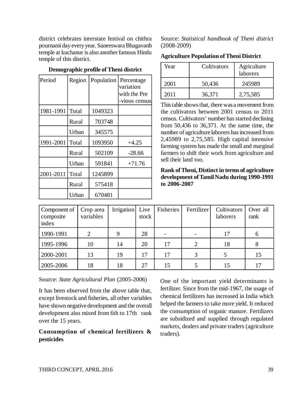district celebrates interstate festival on chithra pournami day every year. Saneeswara Bhagavanb temple at kuchanur is also another famous Hindu temple of this district.

**Demographic profile of Theni district**

| Period    | Region | Population | Percentage<br>variation<br>with the Pre<br>-vious census |
|-----------|--------|------------|----------------------------------------------------------|
| 1981-1991 | Total  | 1049323    |                                                          |
|           | Rural  | 703748     |                                                          |
|           | Urban  | 345575     |                                                          |
| 1991-2001 | Total  | 1093950    | $+4.25$                                                  |
|           | Rural  | 502109     | $-28.66$                                                 |
|           | Urban  | 591841     | $+71.76$                                                 |
| 2001-2011 | Total  | 1245899    |                                                          |
|           | Rural  | 575418     |                                                          |
|           | Urban  | 670481     |                                                          |

Source: *Statistical handbook of Theni district* (2008-2009)

| Year | Cultivators | Agriculture<br>laborers |
|------|-------------|-------------------------|
| 2001 | 50,436      | 245989                  |
| 2011 | 36,371      | 2,75,585                |

This table shows that, there was a movement from the cultivators between 2001 census to 2011 census. Cultivators' number has started declining from 50,436 to 36,371. At the same time, the number of agriculture laborers has increased from 2,45989 to 2,75,585. High capital intensive farming system has made the small and marginal farmers to shift their work from agriculture and sell their land too.

**Rank of Theni, Distinct in terms of agriculture development of Tamil Nadu during 1990-1991 to 2006-2007**

| Component of<br>composite<br>index | Crop area<br>variables | <b>Irrigation</b> | Live<br>stock | Fisheries | Fertilizer | Cultivators<br>laborers | Over all<br>rank |
|------------------------------------|------------------------|-------------------|---------------|-----------|------------|-------------------------|------------------|
| 1990-1991                          | 2                      |                   | 28            |           |            | 17                      | <sub>0</sub>     |
| 1995-1996                          | 10                     | 14                | 20            | 17        | 2          | 18                      |                  |
| 2000-2001                          | 13                     | 19                | 17            | 17        |            |                         | 15               |
| 2005-2006                          | 18                     | 18                | 27            | 15        |            | 15                      | 17               |

Source: *State Agricultural Plan* (2005-2006)

It has been observed from the above table that, except livestock and fisheries, all other variables have shown negative development and the overall development also mixed from 6th to 17th rank over the 15 years.

## **Consumption of chemical fertilizers & pesticides**

One of the important yield determinants is fertilizer. Since from the mid-1967, the usage of chemical fertilizers has increased in India which helped the farmers to take more yield. It reduced the consumption of organic manure. Fertilizers are subsidized and supplied through regulated markets, dealers and private traders (agriculture traders).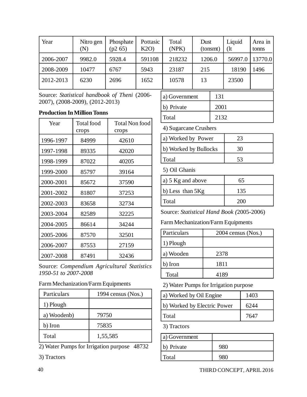| Year      | Nitro gen<br>(N) | Phosphate<br>(p2 65) | Pottasic<br>K2O | Total<br>(NPK) | Dust<br>(tonsmt) | Liquid<br>(lt | Area in<br>tonns |
|-----------|------------------|----------------------|-----------------|----------------|------------------|---------------|------------------|
| 2006-2007 | 9982.0           | 5928.4               | 591108          | 218232         | 1206.0           | 56997.0       | 13770.0          |
| 2008-2009 | 10477            | 6767                 | 5943            | 23187          | 215              | 18190         | 1496             |
| 2012-2013 | 6230             | 2696                 | 1652            | 10578          | 13               | 23500         |                  |

Source: *Statistical handbook of Theni* (2006- 2007), (2008-2009), (2012-2013)

#### **Production In Million Tonns**

| Year      | <b>Total food</b><br>crops | <b>Total Non food</b><br>crops |
|-----------|----------------------------|--------------------------------|
| 1996-1997 | 84999                      | 42610                          |
| 1997-1998 | 89335                      | 42020                          |
| 1998-1999 | 87022                      | 40205                          |
| 1999-2000 | 85797                      | 39164                          |
| 2000-2001 | 85672                      | 37590                          |
| 2001-2002 | 81807                      | 37253                          |
| 2002-2003 | 83658                      | 32734                          |
| 2003-2004 | 82589                      | 32225                          |
| 2004-2005 | 86614                      | 34244                          |
| 2005-2006 | 87570                      | 32501                          |
| 2006-2007 | 87553                      | 27159                          |
| 2007-2008 | 87491                      | 32436                          |

Source: *Compendium Agricultural Statistics 1950-51 to 2007-2008*

| <b>Farm Mechanization/Farm Equipments</b> |  |  |
|-------------------------------------------|--|--|
|-------------------------------------------|--|--|

| Particulars | 1994 census $(Nos.)$ |
|-------------|----------------------|
| 1) Plough   |                      |
| a) Woodenb) | 79750                |
| b) Iron     | 75835                |
| Total       | 1,55,585             |

2) Water Pumps for Irrigation purpose 48732

3) Tractors

| 10578         | 13 |      | 23500 |  |
|---------------|----|------|-------|--|
| a) Government |    | 131  |       |  |
| b) Private    |    | 2001 |       |  |
| Total         |    | 2132 |       |  |

4) Sugarcane Crushers

| a) Worked by Power    |    |
|-----------------------|----|
| b) Worked by Bullocks | 30 |
| Total                 | 53 |

5) Oil Ghanis

| $(a)$ 5 Kg and above |     |
|----------------------|-----|
| b) Less than $5Kg$   | 135 |
| l Total              | 200 |

Source: *Statistical Hand Book (*2005-2006)

### Farm Mechanization/Farm Equipments

| Particulars | $2004$ census (Nos.) |
|-------------|----------------------|
| 1) Plough   |                      |
| a) Wooden   | 2378                 |
| b) Iron     | 1811                 |
| Total       | 4189                 |

2) Water Pumps for Irrigation purpose

| a) Worked by Oil Engine     | 1403 |
|-----------------------------|------|
| b) Worked by Electric Power | 6244 |
| l Total                     | 7647 |

3) Tractors

| a) Government |  |
|---------------|--|
| b) Private    |  |
| Total         |  |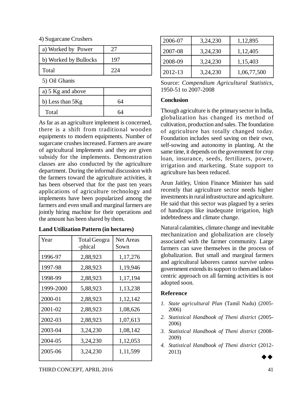#### 4) Sugarcane Crushers

| a) Worked by Power    | רר  |
|-----------------------|-----|
| b) Worked by Bullocks | 197 |
| Total                 | 224 |

5) Oil Ghanis

| a) 5 Kg and above |    |
|-------------------|----|
| b) Less than 5Kg  | 64 |
| Total             |    |

As far as an agriculture implement is concerned, there is a shift from traditional wooden equipments to modern equipments. Number of sugarcane crushes increased. Farmers are aware of agricultural implements and they are given subsidy for the implements. Demonstration classes are also conducted by the agriculture department. During the informal discussion with the farmers toward the agriculture activities, it has been observed that for the past ten years applications of agriculture technology and implements have been popularized among the farmers and even small and marginal farmers are jointly hiring machine for their operations and the amount has been shared by them.

| Year      | Total Geogra<br>-phical | <b>Net Areas</b><br>Sown |
|-----------|-------------------------|--------------------------|
| 1996-97   | 2,88,923                | 1,17,276                 |
| 1997-98   | 2,88,923                | 1,19,946                 |
| 1998-99   | 2,88,923                | 1,17,194                 |
| 1999-2000 | 5,88,923                | 1,13,238                 |
| 2000-01   | 2,88,923                | 1, 12, 142               |
| 2001-02   | 2,88,923                | 1,08,626                 |
| 2002-03   | 2,88,923                | 1,07,613                 |
| 2003-04   | 3,24,230                | 1,08,142                 |
| 2004-05   | 3,24,230                | 1,12,053                 |
| 2005-06   | 3,24,230                | 1,11,599                 |

| <b>Land Utilization Pattern (in hectares)</b> |  |
|-----------------------------------------------|--|
|-----------------------------------------------|--|

| 2006-07 | 3,24,230 | 1,12,895    |
|---------|----------|-------------|
| 2007-08 | 3,24,230 | 1,12,405    |
| 2008-09 | 3,24,230 | 1,15,403    |
| 2012-13 | 3,24,230 | 1,06,77,500 |

Source: *Compendium Agricultural Statistics*, 1950-51 to 2007-2008

#### **Conclusion**

Though agriculture is the primary sector in India, globalization has changed its method of cultivation, production and sales. The foundation of agriculture has totally changed today. Foundation includes seed saving on their own, self-sowing and autonomy in planting. At the same time, it depends on the government for crop loan, insurance, seeds, fertilizers, power, irrigation and marketing. State support to agriculture has been reduced.

Arun Jaitley, Union Finance Minister has said recently that agriculture sector needs higher investments in rural infrastructure and agriculture. He said that this sector was plagued by a series of handicaps like inadequate irrigation, high indebtedness and climate change.

Natural calamities, climate change and inevitable mechanization and globalization are closely associated with the farmer community. Large farmers can save themselves in the process of globalization. But small and marginal farmers and agricultural laborers cannot survive unless government extends its support to them and laborcentric approach on all farming activities is not adopted soon.

## **Reference**

- *1. State agricultural Plan* (Tamil Nadu) (2005- 2006)
- *2. Statistical Handbook of Theni district* (2005- 2006)
- *3. Statistical Handbook of Theni district* (2008- 2009)
- *4. Statistical Handbook of Theni district* (2012- 2013)  $\rightarrow \rightarrow$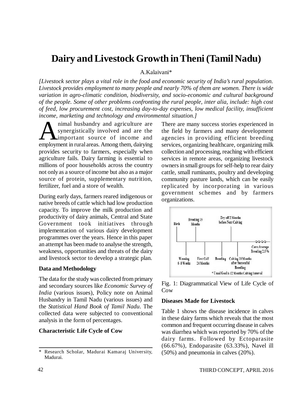## **Dairy and Livestock Growth in Theni (Tamil Nadu)**

#### A.Kalaivani\*

*[Livestock sector plays a vital role in the food and economic security of India's rural population. Livestock provides employment to many people and nearly 70% of them are women. There is wide variation in agro-climatic condition, biodiversity, and socio-economic and cultural background of the people. Some of other problems confronting the rural people, inter alia, include: high cost of feed, low procurement cost, increasing day-to-day expenses, low medical facility, insufficient income, marketing and technology and environmental situation.]*

A nimal husbandry and agriculture are<br>synergistically involved and are the<br>employment in rural areas. Among them, dairying nimal husbandry and agriculture are synergistically involved and are the **L**important source of income and provides security to farmers, especially when agriculture fails. Dairy farming is essential to millions of poor households across the country not only as a source of income but also as a major source of protein, supplementary nutrition, fertilizer, fuel and a store of wealth.

During early days, farmers reared indigenous or native breeds of cattle which had low production capacity. To improve the milk production and productivity of dairy animals, Central and State Government took initiatives through implementation of various dairy development programmes over the years. Hence in this paper an attempt has been made to analyse the strength, weakness, opportunities and threats of the dairy and livestock sector to develop a strategic plan.

#### **Data and Methodology**

The data for the study was collected from primary and secondary sources like *Economic Survey of India* (various issues), Policy note on Animal Husbandry in Tamil Nadu (various issues) and the *Statistical Hand Book of Tamil Nadu*. The collected data were subjected to conventional analysis in the form of percentages.

#### **Characteristic Life Cycle of Cow**

There are many success stories experienced in the field by farmers and many development agencies in providing efficient breeding services, organizing healthcare, organizing milk collection and processing, reaching with efficient services in remote areas, organizing livestock owners in small groups for self-help to rear dairy cattle, small ruminants, poultry and developing community pasture lands, which can be easily replicated by incorporating in various government schemes and by farmers organizations.



Fig. 1: Diagrammatical View of Life Cycle of Cow

#### **Diseases Made for Livestock**

Table 1 shows the disease incidence in calves in these dairy farms which reveals that the most common and frequent occurring disease in calves was diarrhea which was reported by 70% of the dairy farms. Followed by Ectoparasite (66.67%), Endoparasite (63.33%), Navel ill (50%) and pneumonia in calves (20%).

<sup>\*</sup> Research Scholar, Madurai Kamaraj University, Madurai.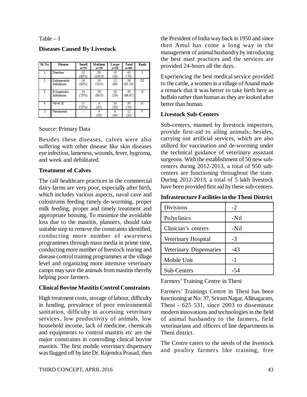#### Table  $-1$

**Diseases Caused By Livestock**

| Sl No. | <b>Disease</b>              | Small<br>$n=20$ | Medium<br>$n=20$ | Large<br>$n=20$ | Total<br>$n=60$ | Rank         |
|--------|-----------------------------|-----------------|------------------|-----------------|-----------------|--------------|
| 1.     | Diarrhea                    | 12<br>$(60\%)$  | 20<br>(100.0)    | 10<br>(50)      | 42<br>(70)      | $\mathbf{I}$ |
| 2.5    | Endoparasite<br>Infestation | 16<br>$(60\%)$  | 10<br>(50.0)     | 12<br>(60)      | 38<br>(63.33)   | Ш            |
| 3.     | Ectoparasite<br>Infestation | 14<br>$(70\%)$  | 16<br>(80.0)     | 10<br>(50)      | 40<br>(66.67)   | Π            |
| 4.     | Navel <sub>ill</sub>        | 11<br>(55%)     | 9<br>(45)        | 10<br>(50)      | 30<br>(50)      | IV           |
| 5      | Pneumonia                   |                 | (20)             | 8<br>(40)       | 12<br>(20)      | V            |

Source: Primary Data

Besides these diseases, calves were also suffering with other disease like skin diseases eye infection, lameness, wounds, fever, hygroma, and week and debilitated.

#### **Treatment of Calves**

The calf healthcare practices in the commercial dairy farms are very poor, especially after birth, which includes various aspects, naval cave and colostrums feeding timely de-worming, proper milk feeding, proper and timely treatment and appropriate housing. To minimize the avoidable loss due to the mastitis, planners, should take suitable step to remove the constraints identified, conducting more number of awareness programmes through mass media in prime time, conducting more number of livestock rearing and disease control training programmes at the village level and organizing more intensive veterinary camps may save the animals from mastitis thereby helping poor farmers.

#### **Clinical Bovine Mastitis Control Constraints**

High treatment costs, storage of labour, difficulty in funding, prevalence of poor environmental sanitation, difficulty in accessing veterinary services, low productivity of animals, low household income, lack of medicine, chemicals and equipments to control mastitis etc are the major constraints in controlling clinical bovine mastitis. The first mobile veterinary dispensary was flagged off by late Dr. Rajendra Prasad, then the President of India way back in 1950 and since then Amul has come a long way in the management of animal husbandry by introducing the best mast practices and the services are provided 24-hours all the days.

Experiencing the best medical service provided to the cattle, a women in a village of Anand made a remark that it was better to take birth here as buffalo rather than human as they are looked after better than human.

#### **Livestock Sub-Centers**

Sub-centers, manned by livestock inspectors, provide first-aid to ailing animals; besides, carrying out artificial services, which are also utilized for vaccination and de-worming under the technical guidance of veterinary assistant surgeons. With the establishment of 50 new subcenters during 2012-2013, a total of 950 subcenters are functioning throughout the state. During 2012-2013, a total of 5 lakh livestock have been provided first aid by these sub-centers.

**Infrastructure Facilities in the Theni District**

| <b>Divisions</b>        | $-2$ |
|-------------------------|------|
| Polyclinics             | -Nil |
| Clinician's centers     | -Nil |
| Veterinary Hospital     | -3   |
| Veterinary Dispensaries | -43  |
| Mobile Unit             | - 1  |
| Sub-Centers             |      |

Farmers' Training Centre in Theni

Farmers' Trainings Centre in Theni has been functioning at No: 37, Sriram Nagar, Allinagaram, Theni - 625 531, since 2003 to disseminate modern innovations and technologies in the field of animal husbandry to the farmers, field veterinarians and officers of line departments in Theni district.

The Centre caters to the needs of the livestock and poultry farmers like training, free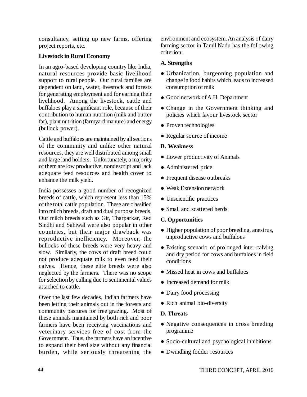consultancy, setting up new farms, offering project reports, etc.

### **Livestock in Rural Economy**

In an agro-based developing country like India, natural resources provide basic livelihood support to rural people. Our rural families are dependent on land, water, livestock and forests for generating employment and for earning their livelihood. Among the livestock, cattle and buffaloes play a significant role, because of their contribution to human nutrition (milk and butter fat), plant nutrition (farmyard manure) and energy (bullock power).

Cattle and buffaloes are maintained by all sections of the community and unlike other natural resources, they are well distributed among small and large land holders. Unfortunately, a majority of them are low productive, nondescript and lack adequate feed resources and health cover to enhance the milk yield.

India possesses a good number of recognized breeds of cattle, which represent less than 15% of the total cattle population. These are classified into milch breeds, draft and dual purpose breeds. Our milch breeds such as Gir, Tharparkar, Red Sindhi and Sahiwal were also popular in other countries, but their major drawback was reproductive inefficiency. Moreover, the bullocks of these breeds were very heavy and slow. Similarly, the cows of draft breed could not produce adequate milk to even feed their calves. Hence, these elite breeds were also neglected by the farmers. There was no scope for selection by culling due to sentimental values attached to cattle.

Over the last few decades, Indian farmers have been letting their animals out in the forests and community pastures for free grazing. Most of these animals maintained by both rich and poor farmers have been receiving vaccinations and veterinary services free of cost from the Government. Thus, the farmers have an incentive to expand their herd size without any financial burden, while seriously threatening the

environment and ecosystem. An analysis of dairy farming sector in Tamil Nadu has the following criterion:

### **A. Strengths**

- Urbanization, burgeoning population and change in food habits which leads to increased consumption of milk
- Good network of A.H. Department
- Change in the Government thinking and policies which favour livestock sector
- Proven technologies
- Regular source of income
- **B. Weakness**
- Lower productivity of Animals
- Administered price
- Frequent disease outbreaks
- Weak Extension network
- Unscientific practices
- Small and scattered herds

#### **C. Opportunities**

- Higher population of poor breeding, anestrus, unproductive cows and buffaloes
- Existing scenario of prolonged inter-calving and dry period for cows and buffaloes in field conditions
- Missed heat in cows and buffaloes
- Increased demand for milk
- Dairy food processing
- Rich animal bio-diversity

### **D. Threats**

- Negative consequences in cross breeding programme
- Socio-cultural and psychological inhibitions
- Dwindling fodder resources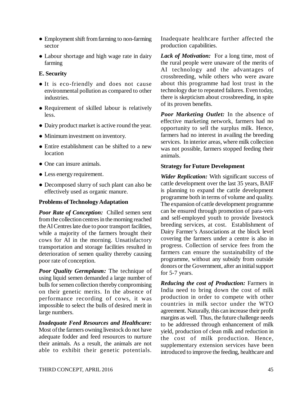- Employment shift from farming to non-farming sector
- Labour shortage and high wage rate in dairy farming

### **E. Security**

- It is eco-friendly and does not cause environmental pollution as compared to other industries.
- Requirement of skilled labour is relatively less.
- Dairy product market is active round the year.
- Minimum investment on inventory.
- Entire establishment can be shifted to a new location
- One can insure animals.
- Less energy requirement.
- Decomposed slurry of such plant can also be effectively used as organic manure.

### **Problems of Technology Adaptation**

*Poor Rate of Conception:* Chilled semen sent from the collection centres in the morning reached the AI Centres late due to poor transport facilities, while a majority of the farmers brought their cows for AI in the morning. Unsatisfactory transportation and storage facilities resulted in deterioration of semen quality thereby causing poor rate of conception.

*Poor Quality Germplasm:* The technique of using liquid semen demanded a large number of bulls for semen collection thereby compromising on their genetic merits. In the absence of performance recording of cows, it was impossible to select the bulls of desired merit in large numbers.

*Inadequate Feed Resources and Healthcare:* Most of the farmers owning livestock do not have adequate fodder and feed resources to nurture their animals. As a result, the animals are not able to exhibit their genetic potentials. Inadequate healthcare further affected the production capabilities.

*Lack of Motivation:* For a long time, most of the rural people were unaware of the merits of AI technology and the advantages of crossbreeding, while others who were aware about this programme had lost trust in the technology due to repeated failures. Even today, there is skepticism about crossbreeding, in spite of its proven benefits.

*Poor Marketing Outlet:* In the absence of effective marketing network, farmers had no opportunity to sell the surplus milk. Hence, farmers had no interest in availing the breeding services. In interior areas, where milk collection was not possible, farmers stopped feeding their animals.

#### **Strategy for Future Development**

*Wider Replication:* With significant success of cattle development over the last 35 years, BAIF is planning to expand the cattle development programme both in terms of volume and quality. The expansion of cattle development programme can be ensured through promotion of para-vets and self-employed youth to provide livestock breeding services, at cost. Establishment of Dairy Farmer's Associations at the block level covering the farmers under a centre is also in progress. Collection of service fees from the farmers can ensure the sustainability of the programme, without any subsidy from outside donors or the Government, after an initial support for 5-7 years.

*Reducing the cost of Production:* Farmers in India need to bring down the cost of milk production in order to compete with other countries in milk sector under the WTO agreement. Naturally, this can increase their profit margins as well. Thus, the future challenge needs to be addressed through enhancement of milk yield, production of clean milk and reduction in the cost of milk production. Hence, supplementary extension services have been introduced to improve the feeding, healthcare and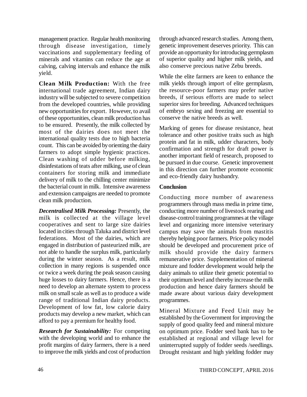management practice. Regular health monitoring through disease investigation, timely vaccinations and supplementary feeding of minerals and vitamins can reduce the age at calving, calving intervals and enhance the milk yield.

**Clean Milk Production:** With the free international trade agreement, Indian dairy industry will be subjected to severe competition from the developed countries, while providing new opportunities for export. However, to avail of these opportunities, clean milk production has to be ensured. Presently, the milk collected by most of the dairies does not meet the international quality tests due to high bacteria count. This can be avoided by orienting the dairy farmers to adopt simple hygienic practices. Clean washing of udder before milking, disinfestations of teats after milking, use of clean containers for storing milk and immediate delivery of milk to the chilling center minimize the bacterial count in milk. Intensive awareness and extension campaigns are needed to promote clean milk production.

*Decentralised Milk Processing:* Presently, the milk is collected at the village level cooperatives and sent to large size dairies located in cities through Taluka and district level federations. Most of the dairies, which are engaged in distribution of pasteurized milk, are not able to handle the surplus milk, particularly during the winter season. As a result, milk collection in many regions is suspended once or twice a week during the peak season causing huge losses to dairy farmers. Hence, there is a need to develop an alternate system to process milk on small scale as well as to produce a wide range of traditional Indian dairy products. Development of low fat, low calorie dairy products may develop a new market, which can afford to pay a premium for healthy food.

*Research for Sustainability:* For competing with the developing world and to enhance the profit margins of dairy farmers, there is a need to improve the milk yields and cost of production through advanced research studies. Among them, genetic improvement deserves priority. This can provide an opportunity for introducing germplasm of superior quality and higher milk yields, and also conserve precious native Zebu breeds.

While the elite farmers are keen to enhance the milk yields through import of elite germplasm, the resource-poor farmers may prefer native breeds, if serious efforts are made to select superior sires for breeding. Advanced techniques of embryo sexing and freezing are essential to conserve the native breeds as well.

Marking of genes for disease resistance, heat tolerance and other positive traits such as high protein and fat in milk, udder characters, body confirmation and strength for draft power is another important field of research, proposed to be pursued in due course. Genetic improvement in this direction can further promote economic and eco-friendly dairy husbandry.

#### **Conclusion**

Conducting more number of awareness programmers through mass media in prime time, conducting more number of livestock rearing and disease-control training programmes at the village level and organizing more intensive veterinary campus may save the animals from mastitis thereby helping poor farmers. Price policy model should be developed and procurement price of milk should provide the dairy farmers remunerative price. Supplementation of mineral mixture and fodder development would help the dairy animals to utilize their genetic potential to their optimum level and thereby increase the milk production and hence dairy farmers should be made aware about various dairy development programmes.

Mineral Mixture and Feed Unit may be established by the Government for improving the supply of good quality feed and mineral mixture on optimum price. Fodder seed bank has to be established at regional and village level for uninterrupted supply of fodder seeds /seedlings. Drought resistant and high yielding fodder may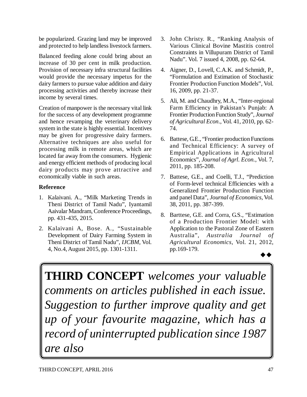be popularized. Grazing land may be improved and protected to help landless livestock farmers.

Balanced feeding alone could bring about an increase of 30 per cent in milk production. Provision of necessary infra structural facilities would provide the necessary impetus for the dairy farmers to pursue value addition and dairy processing activities and thereby increase their income by several times.

Creation of manpower is the necessary vital link for the success of any development programme and hence revamping the veterinary delivery system in the state is highly essential. Incentives may be given for progressive dairy farmers. Alternative techniques are also useful for processing milk in remote areas, which are located far away from the consumers. Hygienic and energy efficient methods of producing local dairy products may prove attractive and economically viable in such areas.

## **Reference**

- 1. Kalaivani. A., "Milk Marketing Trends in Theni District of Tamil Nadu", Iyantamil Aaivalar Mandram, Conference Proceedings, pp. 431-435, 2015.
- 2. Kalaivani A, Bose. A., "Sustainable Development of Dairy Farming System in Theni District of Tamil Nadu", *IJCBM*, Vol. 4, No.4, August 2015, pp. 1301-1311.
- 3. John Christy. R., "Ranking Analysis of Various Clinical Bovine Mastitis control Constraints in Villupuram District of Tamil Nadu". Vol. 7 issued 4, 2008, pp. 62-64.
- 4. Aigner, D., Lovell, C.A.K. and Schmidt, P., "Formulation and Estimation of Stochastic Frontier Production Function Models", Vol. 16, 2009, pp. 21-37.
- 5. Ali, M. and Chaudhry, M.A., "Inter-regional Farm Efficiency in Pakistan's Punjab: A Frontier Production Function Study", *Journal of Agricultural Econ*., Vol. 41, 2010, pp. 62- 74.
- 6. Battese, G.E., "Frontier production Functions and Technical Efficiency: A survey of Empirical Applications in Agricultural Economics", *Journal of Agrl. Econ.*, Vol. 7, 2011, pp. 185-208.
- 7. Battese, G.E., and Coelli, T.J., "Prediction of Form-level technical Efficiencies with a Generalized Frontier Production Function and panel Data", *Journal of Economics*, Vol. 38, 2011, pp. 387-399.
- 8. Barttese, G.E. and Corra, G.S., "Estimation of a Production Frontier Model: with Application to the Pastoral Zone of Eastern Australia", *Australia Journal of Agricultural Economics*, Vol. 21, 2012, pp.169-179.  $\rightarrow \rightarrow$

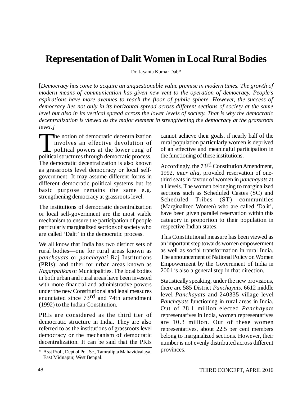## **Representation of Dalit Women in Local Rural Bodies**

Dr. Jayanta Kumar Dab\*

[*Democracy has come to acquire an unquestionable value premise in modern times. The growth of modern means of communication has given new vent to the operation of democracy. People's aspirations have more avenues to reach the floor of public sphere. However, the success of democracy lies not only in its horizontal spread across different sections of society at the same level but also in its vertical spread across the lower levels of society. That is why the democratic decentralization is viewed as the major element in strengthening the democracy at the grassroots level.]*

The notion of democratic decentralization<br>involves an effective devolution of<br>political powers at the lower rung of<br>political structures through democratic process. he notion of democratic decentralization involves an effective devolution of political powers at the lower rung of The democratic decentralization is also known as grassroots level democracy or local selfgovernment. It may assume different forms in different democratic political systems but its basic purpose remains the same e.g. strengthening democracy at grassroots level.

The institutions of democratic decentralization or local self-government are the most viable mechanism to ensure the participation of people particularly marginalized sections of society who are called 'Dalit' in the democratic process.

We all know that India has two distinct sets of rural bodies—one for rural areas known as *panchayats* or *panchayati* Raj Institutions (PRIs); and other for urban areas known as *Nagarpalikas* or Municipalities. The local bodies in both urban and rural areas have been invested with more financial and administrative powers under the new Constitutional and legal measures enunciated since 73rd and 74th amendment (1992) to the Indian Constitution.

PRIs are considered as the third tier of democratic structure in India. They are also referred to as the institutions of grassroots level democracy or the mechanism of democratic decentralization. It can be said that the PRIs

cannot achieve their goals, if nearly half of the rural population particularly women is deprived of an effective and meaningful participation in the functioning of these institutions.

Accordingly, the 73<sup>rd</sup> Constitution Amendment, 1992*, inter alia*, provided reservation of onethird seats in favour of women in *panchayats* at all levels. The women belonging to marginalized sections such as Scheduled Castes (SC) and Scheduled Tribes (ST) communities (Marginalized Women) who are called 'Dalit', have been given parallel reservation within this category in proportion to their population in respective Indian states.

This Constitutional measure has been viewed as an important step towards women empowerment as well as social transformation in rural India. The announcement of National Policy on Women Empowerment by the Government of India in 2001 is also a general step in that direction.

Statistically speaking, under the new provisions, there are 585 District *Panchayats*, 6612 middle level *Panchayats* and 240335 village level *Panchayats* functioning in rural areas in India. Out of 28.1 million elected *Panchayats* representatives in India, women representatives are 10.3 million. Out of these women representatives, about 22.5 per cent members belong to marginalized sections. However, their number is not evenly distributed across different provinces.

<sup>\*</sup> Asst Prof., Dept of Pol. Sc., Tamralipta Mahavidyalaya, East Midnapur, West Bengal.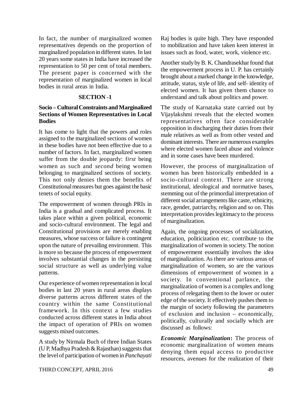In fact, the number of marginalized women representatives depends on the proportion of marginalized population in different states. In last 20 years some states in India have increased the representation to 50 per cent of total members. The present paper is concerned with the representation of marginalized women in local bodies in rural areas in India.

#### **SECTION -1**

#### **Socio – Cultural Constraints and Marginalized Sections of Women Representatives in Local Bodies**

It has come to light that the powers and roles assigned to the marginalized sections of women in these bodies have not been effective due to a number of factors. In fact, marginalized women suffer from the double jeopardy: f*irst* being women as such and *second* being women belonging to marginalized sections of society. This not only denies them the benefits of Constitutional measures but goes against the basic tenets of social equity.

The empowerment of women through PRIs in India is a gradual and complicated process. It takes place within a given political, economic and socio-cultural environment. The legal and Constitutional provisions are merely enabling measures, whose success or failure is contingent upon the nature of prevailing environment. This is more so because the process of empowerment involves substantial changes in the persisting social structure as well as underlying value patterns.

Our experience of women representation in local bodies in last 20 years in rural areas displays diverse patterns across different states of the country within the same Constitutional framework. In this context a few studies conducted across different states in India about the impact of operation of PRIs on women suggests mixed outcomes.

A study by Nirmala Buch of three Indian States (U P, Madhya Pradesh & Rajasthan) suggests that the level of participation of women in *Panchayati*

Raj bodies is quite high. They have responded to mobilization and have taken keen interest in issues such as food, water, work, violence etc.

Another study by B. K. Chandrasekhar found that the empowerment process in U. P. has certainly brought about a marked change in the knowledge, attitude, status, style of life, and self- identity of elected women. It has given them chance to understand and talk about politics and power.

The study of Karnataka state carried out by Vijaylakshmi reveals that the elected women representatives often face considerable opposition in discharging their duties from their male relatives as well as from other vested and dominant interests. There are numerous examples where elected women faced abuse and violence and in some cases have been murdered.

However, the process of marginalization of women has been historically embedded in a socio-cultural context. There are strong institutional, ideological and normative bases, stemming out of the primordial interpretation of different social arrangements like caste, ethnicity, race, gender, patriarchy, religion and so on. This interpretation provides legitimacy to the process of marginalization.

Again, the ongoing processes of socialization, education, politicization etc. contribute to the marginalization of women in society. The notion of empowerment essentially involves the idea of marginalization. As there are various areas of marginalization of women, so are the various dimensions of empowerment of women in a society. In conventional parlance, the marginalization of women is a complex and long process of relegating them to the lower or outer edge of the society. It effectively pushes them to the margin of society following the parameters of exclusion and inclusion – economically, politically, culturally and socially which are discussed as follows:

*Economic Marginalization***:** The process of economic marginalization of women means denying them equal access to productive resources, avenues for the realization of their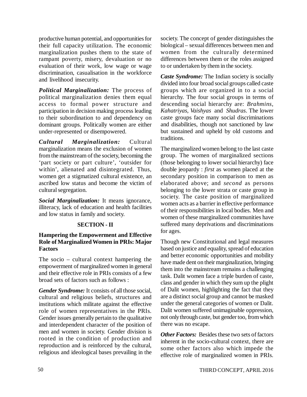productive human potential, and opportunities for their full capacity utilization. The economic marginalization pushes them to the state of rampant poverty, misery, devaluation or no evaluation of their work, low wage or wage discrimination, casualisation in the workforce and livelihood insecurity.

*Political Marginalization:* The process of political marginalization denies them equal access to formal power structure and participation in decision making process leading to their subordination to and dependency on dominant groups. Politically women are either under-represented or disempowered.

*Cultural Marginalization:* Cultural marginalization means the exclusion of women from the mainstream of the society, becoming the 'part society or part culture', 'outsider for within', alienated and disintegrated. Thus, women get a stigmatized cultural existence, an ascribed low status and become the victim of cultural segregation.

*Social Marginalization:* It means ignorance, illiteracy, lack of education and health facilities and low status in family and society.

#### **SECTION - II**

#### **Hampering the Empowerment and Effective Role of Marginalized Women in PRIs: Major Factors**

The socio – cultural context hampering the empowerment of marginalized women in general and their effective role in PRIs consists of a few broad sets of factors such as follows :

*Gender Syndrome:* It consists of all those social, cultural and religious beliefs, structures and institutions which militate against the effective role of women representatives in the PRIs. Gender issues generally pertain to the qualitative and interdependent character of the position of men and women in society. Gender division is rooted in the condition of production and reproduction and is reinforced by the cultural, religious and ideological bases prevailing in the

society. The concept of gender distinguishes the biological – sexual differences between men and women from the culturally determined differences between them or the roles assigned to or undertaken by them in the society.

*Caste Syndrome:* The Indian society is socially divided into four broad social groups called caste groups which are organized in to a social hierarchy. The four social groups in terms of descending social hierarchy are: *Brahmins*, *Kahatriyas, Vaishyas* and *Shudras*. The lower caste groups face many social discriminations and disabilities, though not sanctioned by law but sustained and upheld by old customs and traditions.

The marginalized women belong to the last caste group. The women of marginalized sections (those belonging to lower social hierarchy) face double jeopardy : *first* as women placed at the secondary position in comparison to men as elaborated above; and *second* as persons belonging to the lower strata or caste group in society. The caste position of marginalized women acts as a barrier in effective performance of their responsibilities in local bodies. Men and women of these marginalized communities have suffered many deprivations and discriminations for ages.

Though new Constitutional and legal measures based on justice and equality, spread of education and better economic opportunities and mobility have made dent on their marginalization, bringing them into the mainstream remains a challenging task. Dalit women face a triple burden of caste, class and gender in which they sum up the plight of Dalit women, highlighting the fact that they are a distinct social group and cannot be masked under the general categories of women or Dalit. Dalit women suffered unimaginable oppression, not only through caste, but gender too, from which there was no escape.

*Other Factors:* Besides these two sets of factors inherent in the socio-cultural context, there are some other factors also which impede the effective role of marginalized women in PRIs.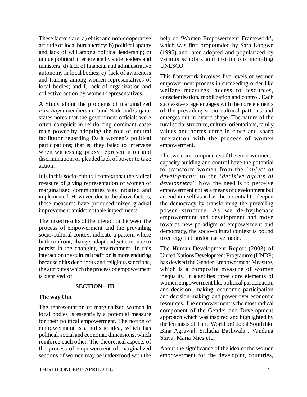These factors are: a) elitist and non-cooperative attitude of local bureaucracy; b) political apathy and lack of will among political leadership; c) undue political interference by state leaders and ministers; d) lack of financial and administrative autonomy in local bodies; e) lack of awareness and training among women representatives of local bodies; and f) lack of organization and collective action by women representatives.

A Study about the problems of marginalized *Panchayat* members in Tamil Nadu and Gujarat states notes that the government officials were often complicit in reinforcing dominant caste male power by adopting the role of neutral facilitator regarding Dalit women's political participations; that is, they failed to intervene when witnessing proxy representation and discrimination, or pleaded lack of power to take action.

It is in this socio-cultural context that the radical measure of giving representation of women of marginalized communities was initiated and implemented. However, due to the above factors, these measures have produced mixed gradual improvement amidst notable impediments.

The mixed results of the interaction between the process of empowerment and the prevailing socio-cultural context indicate a pattern where both confront, change, adapt and yet continue to persist in the changing environment. In this interaction the cultural tradition is more enduring because of its deep roots and religious sanctions, the attributes which the process of empowerment is deprived of.

#### **SECTION – III**

#### **The way Out**

The representation of marginalized women in local bodies is essentially a potential measure for their political empowerment. The notion of empowerment is a holistic idea, which has political, social and economic dimensions, which reinforce each other. The theoretical aspects of the process of empowerment of marginalized sections of women may be understood with the

THIRD CONCEPT, APRIL 2016 51

help of 'Women Empowerment Framework', which was first propounded by Sara Longwe (1995) and later adopted and popularized by various scholars and institutions including UNESCO.

This framework involves five levels of women empowerment process in succeeding order like welfare measures, access to resources, conscientisation, mobilization and control. Each successive stage engages with the core elements of the prevailing socio-cultural patterns and emerges out in hybrid shape. The nature of the rural social structure, cultural orientations, family values and norms come in close and sharp interaction with the process of women empowerment.

The two core components of the empowermentcapacity building and control have the potential to transform women from the '*object of development'* to the '*decisive agents of development'*. Now the need is to perceive empowerment not as a means of development but an end in itself as it has the potential to deepen the democracy by transforming the prevailing power structure. As we de-hyphenate empowerment and development and move towards new paradigm of empowerment and democracy, the socio-cultural context is bound to emerge in transformative mode.

The Human Development Report (2003) of United Nations Development Programme (UNDP) has devised the Gender Empowerment Measure, which is a composite measure of women inequality. It identifies three core elements of women empowerment like political participation and decision- making; economic participation and decision-making; and power over economic resources. The empowerment is the most radical component of the Gender and Development approach which was inspired and highlighted by the feminists of Third World or Global South like Bina Agrawal, Srilatha Batliwala , Vandana Shiva, Maria Mies etc.

About the significance of the idea of the women empowerment for the developing countries,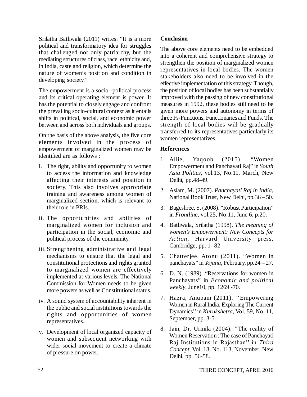Srilatha Batliwala (2011) writes: "It is a more political and transformatory idea for struggles that challenged not only patriarchy, but the mediating structures of class, race, ethnicity and, in India, caste and religion, which determine the nature of women's position and condition in developing society."

The empowerment is a socio -political process and its critical operating element is power. It has the potential to closely engage and confront the prevailing socio-cultural context as it entails shifts in political, social, and economic power between and across both individuals and groups.

On the basis of the above analysis, the five core elements involved in the process of empowerment of marginalized women may be identified are as follows :

- i. The right, ability and opportunity to women to access the information and knowledge affecting their interests and position in society. This also involves appropriate training and awareness among women of marginalized section, which is relevant to their role in PRIs.
- ii. The opportunities and abilities of marginalized women for inclusion and participation in the social, economic and political process of the community.
- iii. Strengthening administrative and legal mechanisms to ensure that the legal and constitutional protections and rights granted to marginalized women are effectively implemented at various levels. The National Commission for Women needs to be given more powers as well as Constitutional status.
- iv. A sound system of accountability inherent in the public and social institutions towards the rights and opportunities of women representatives.
- v. Development of local organized capacity of women and subsequent networking with wider social movement to create a climate of pressure on power.

### **Conclusion**

The above core elements need to be embedded into a coherent and comprehensive strategy to strengthen the position of marginalized women representatives in local bodies. The women stakeholders also need to be involved in the effective implementation of this strategy. Though, the position of local bodies has been substantially improved with the passing of new constitutional measures in 1992, these bodies still need to be given more powers and autonomy in terms of three Fs-Functions, Functionaries and Funds. The strength of local bodies will be gradually transferred to its representatives particularly its women representatives.

#### **References**

- 1. Allie, Yaqoob (2015). "Women Empowerment and Panchayati Raj" in *South Asia Politics*, vol.13, No.11, March, New Delhi, pp.48-49.
- 2. Aslam, M. (2007). *Panchayati Raj in India*, National Book Trust, New Delhi, pp.36 – 50.
- 3. Bageshree, S. (2008). "Robust Participation" in *Frontline,* vol.25, No.11, June 6, p.20.
- 4. Batliwala, Srilatha (1998). *The meaning of women's Empowerment: New Concepts for Action,* Harvard University press, Cambridge, pp. 1- 82
- 5. Chatterjee, Atonu (2011). "Women in panchayats" in *Yojana*, February, pp.24 – 27.
- 6. D. N. (1989). "Reservations for women in Panchayats" in *Economic and political weekly*, June10, pp. 1269 -70.
- 7. Hazra, Anupam (2011). ''Empowering Women in Rural India: Exploring The Current Dynamics'' in *Kurukshetra*, Vol. 59, No. 11, September, pp. 3-5.
- 8. Jain, Dr. Urmila (2004). ''The reality of Women Reservation : The case of Panchayati Raj Institutions in Rajasthan'' in *Third Concept,* Vol. 18, No. 113, November, New Delhi, pp. 56-58.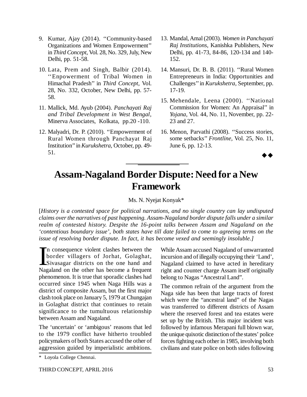- 9. Kumar, Ajay (2014). ''Community-based Organizations and Women Empowerment'' in *Third Concept*, Vol. 28, No. 329, July, New Delhi, pp. 51-58.
- 10. Lata, Prem and Singh, Balbir (2014). ''Enpowerment of Tribal Women in Himachal Pradesh'' in *Third Concept*, Vol. 28, No. 332, October, New Delhi, pp. 57- 58.
- 11. Mallick, Md. Ayub (2004). *Panchayati Raj and Tribal Development in West Bengal,* Minerva Associates, Kolkata, pp.20 -110.
- 12. Malyadri, Dr. P. (2010). ''Empowerment of Rural Women through Panchayat Raj Institution'' in *Kurukshetra,* October, pp. 49- 51.
- 13. Mandal, Amal (2003). *Women in Panchayati Raj Institutions,* Kanishka Publishers, New Delhi, pp. 41-73, 84-86, 120-134 and 140- 152.
- 14. Mansuri, Dr. B. B. (2011). ''Rural Women Entrepreneurs in India: Opportunities and Challenges'' in *Kurukshetra,* September, pp. 17-19.
- 15. Mehendale, Leena (2000). ''National Commission for Women: An Appraisal'' in *Yojana,* Vol. 44, No. 11, November, pp. 22- 23 and 27.
- 16. Menon, Parvathi (2008). ''Success stories, some setbacks'' *Frontline,* Vol. 25, No. 11, June 6, pp. 12-13.



# **Assam-Nagaland Border Dispute: Need for a New Framework**

#### Ms. N. Nyejat Konyak\*

[*History is a contested space for political narrations, and no single country can lay undisputed claims over the narratives of past happening. Assam-Nagaland border dispute falls under a similar realm of contested history. Despite the 16-point talks between Assam and Nagaland on the 'contentious boundary issue', both states have till date failed to come to agreeing terms on the issue of resolving border dispute. In fact, it has become vexed and seemingly insoluble.]*

In consequence violent clashes between the<br>border villagers of Jorhat, Golaghat,<br>Sivasagar districts on the one hand and<br>Nagaland on the other has become a frequent border villagers of Jorhat, Golaghat, Sivasagar districts on the one hand and Nagaland on the other has become a frequent phenomenon. It is true that sporadic clashes had occurred since 1945 when Naga Hills was a district of composite Assam, but the first major clash took place on January 5, 1979 at Chungajan in Golaghat district that continues to retain significance to the tumultuous relationship between Assam and Nagaland.

The 'uncertain' or 'ambigous' reasons that led to the 1979 conflict have hitherto troubled policymakers of both States accused the other of aggression guided by imperialistic ambitions.

While Assam accused Nagaland of unwarranted incursion and of illegally occupying their 'Land', Nagaland claimed to have acted in hereditary right and counter charge Assam itself originally belong to Nagas "Ancestral Land".

The common refrain of the argument from the Naga side has been that large tracts of forest which were the "ancestral land" of the Nagas was transferred to different districts of Assam where the reserved forest and tea estates were set up by the British. This major incident was followed by infamous Merapani full blown war, the unique quixotic distinction of the states' police forces fighting each other in 1985, involving both civilians and state police on both sides following

<sup>\*</sup> Loyola College Chennai.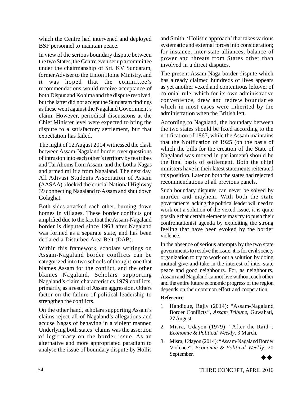which the Centre had intervened and deployed BSF personnel to maintain peace.

In view of the serious boundary dispute between the two States, the Centre even set up a committee under the chairmanship of Sri. KV Sundaram, former Adviser to the Union Home Ministry, and it was hoped that the committee's recommendations would receive acceptance of both Dispur and Kohima and the dispute resolved, but the latter did not accept the Sundaram findings as these went against the Nagaland Government's claim. However, periodical discussions at the Chief Minister level were expected to bring the dispute to a satisfactory settlement, but that expectation has failed.

The night of 12 August 2014 witnessed the clash between Assam-Nagaland border over questions of intrusion into each other's territory by tea tribes and Tai Ahoms from Assam, and the Lotha Nagas and armed militia from Nagaland. The next day, All Adivasi Students Association of Assam (AASAA) blocked the crucial National Highway 39 connecting Nagaland to Assam and shut down Golaghat.

Both sides attacked each other, burning down homes in villages. These border conflicts got amplified due to the fact that the Assam-Nagaland border is disputed since 1963 after Nagaland was formed as a separate state, and has been declared a Disturbed Area Belt (DAB).

Within this framework, scholars writings on Assam-Nagaland border conflicts can be categorized into two schools of thought-one that blames Assam for the conflict, and the other blames Nagaland, Scholars supporting Nagaland's claim characteristics 1979 conflicts, primarily, as a result of Assam aggression. Others factor on the failure of political leadership to strengthen the conflicts.

On the other hand, scholars supporting Assam's claims reject all of Nagaland's allegations and accuse Nagas of behaving in a violent manner. Underlying both states' claims was the assertion of legitimacy on the border issue. As an alternative and more appropriated paradigm to analyse the issue of boundary dispute by Hollis and Smith, 'Holistic approach' that takes various systematic and external forces into consideration; for instance, inter-state alliances, balance of power and threats from States other than involved in a direct disputes.

The present Assam-Naga border dispute which has already claimed hundreds of lives appears as yet another vexed and contentious leftover of colonial rule, which for its own administrative convenience, drew and redrew boundaries which in most cases were inherited by the administration when the British left.

According to Nagaland, the boundary between the two states should be fixed according to the notification of 1867, while the Assam maintains that the Notification of 1925 (on the basis of which the bills for the creation of the State of Nagaland was moved in parliament) should be the final basis of settlement. Both the chief ministers have in their latest statements reiterated this position. Later on both the states had rejected recommendations of all previous panels.

Such boundary disputes can never be solved by murder and mayhem. With both the state governments lacking the political leader will need to work out a solution of the vexed issue, it is quite possible that certain elements may try to push their confrontationist agenda by exploiting the strong feeling that have been evoked by the border violence.

In the absence of serious attempts by the two state governments to resolve the issue, it is for civil society organization to try to work out a solution by doing mutual give-and-take in the interest of inter-state peace and good neighbours. For, as neighbours, Assam and Nagaland cannot live without each other and the entire future economic progress of the region depends on their common effort and cooperation.

#### **Reference**

- 1. Handique, Rajiv (2014): "Assam-Nagaland Border Conflicts*", Assam Tribune*, Guwahati, 27 August.
- 2. Misra, Udayon (1979): "After the Raid*", Economic & Political Weekly*, 3 March.
- 3. Misra, Udayon (2014): "Assam-Nagaland Border Violence", *Economic & Political Weekly*, 20 September.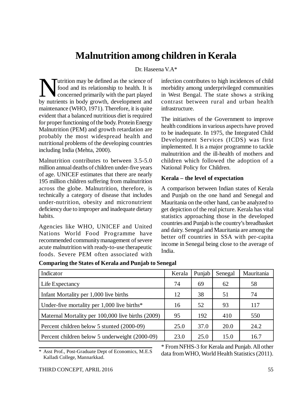# **Malnutrition among children in Kerala**

Dr. Haseena V.A\*

Mutrition may be defined as the science of food and its relationship to health. It is concerned primarily with the part played by nutrients in body growth, development and utrition may be defined as the science of food and its relationship to health. It is concerned primarily with the part played maintenance (WHO, 1971). Therefore, it is quite evident that a balanced nutritious diet is required for proper functioning of the body. Protein Energy Malnutrition (PEM) and growth retardation are probably the most widespread health and nutritional problems of the developing countries including India (Mehta, 2000).

Malnutrition contributes to between 3.5-5.0 million annual deaths of children under-five years of age. UNICEF estimates that there are nearly 195 million children suffering from malnutrition across the globe. Malnutrition, therefore, is technically a category of disease that includes under-nutrition, obesity and micronutrient deficiency due to improper and inadequate dietary habits.

Agencies like WHO, UNICEF and United Nations World Food Programme have recommended community management of severe acute malnutrition with ready-to-use therapeutic foods. Severe PEM often associated with infection contributes to high incidences of child morbidity among underprivileged communities in West Bengal. The state shows a striking contrast between rural and urban health infrastructure.

The initiatives of the Government to improve health conditions in various aspects have proved to be inadequate. In 1975, the Integrated Child Development Services (ICDS) was first implemented. It is a major programme to tackle malnutrition and the ill-health of mothers and children which followed the adoption of a National Policy for Children.

### **Kerala – the level of expectation**

A comparison between Indian states of Kerala and Punjab on the one hand and Senegal and Mauritania on the other hand, can be analyzed to get depiction of the real picture. Kerala has vital statistics approaching those in the developed countries and Punjab is the country's breadbasket and dairy. Senegal and Mauritania are among the better off countries in SSA with per-capita income in Senegal being close to the average of India.

| Indicator                                         | Kerala | Punjab | Senegal | Mauritania |
|---------------------------------------------------|--------|--------|---------|------------|
| Life Expectancy                                   | 74     | 69     | 62      | 58         |
| Infant Mortality per 1,000 live births            | 12     | 38     | 51      | 74         |
| Under-five mortality per 1,000 live births*       | 16     | 52     | 93      | 117        |
| Maternal Mortality per 100,000 live births (2009) | 95     | 192    | 410     | 550        |
| Percent children below 5 stunted (2000-09)        | 25.0   | 37.0   | 20.0    | 24.2       |
| Percent children below 5 underweight (2000-09)    | 23.0   | 25.0   | 15.0    | 16.7       |

**Comparing the States of Kerala and Punjab to Senegal**

Asst Prof., Post-Graduate Dept of Economics, M.E.S Kalladi College, Mannarkkad.

\* From NFHS-3 for Kerala and Punjab. All other data from WHO, World Health Statistics (2011).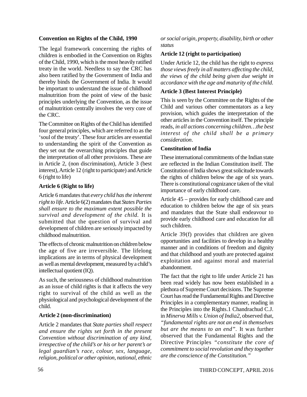#### **Convention on Rights of the Child, 1990**

The legal framework concerning the rights of children is embodied in the Convention on Rights of the Child, 1990, which is the most heavily ratified treaty in the world. Needless to say the CRC has also been ratified by the Government of India and thereby binds the Government of India. It would be important to understand the issue of childhood malnutrition from the point of view of the basic principles underlying the Convention, as the issue of malnutrition centrally involves the very core of the CRC.

The Committee on Rights of the Child has identified four general principles, which are referred to as the 'soul of the treaty'. These four articles are essential to understanding the spirit of the Convention as they set out the overarching principles that guide the interpretation of all other provisions. These are in Article 2, (non discrimination), Article 3 (best interest), Article 12 (right to participate) and Article 6 (right to life)

#### **Article 6 (Right to life)**

Article 6 mandates that *every child has the inherent right to life.* Article 6(2) mandates that *States Parties shall ensure to the maximum extent possible the survival and development of the child.* It is submitted that the question of survival and development of children are seriously impacted by childhood malnutrition.

The effects of chronic malnutrition on children below the age of five are irreversible. The lifelong implications are in terms of physical development as well as mental development, measured by a child's intellectual quotient (IQ).

As such, the seriousness of childhood malnutrition as an issue of child rights is that it affects the very right to survival of the child as well as the physiological and psychological development of the child.

#### **Article 2 (non-discrimination)**

Article 2 mandates that *State parties shall respect and ensure the rights set forth in the present Convention without discrimination of any kind, irrespective of the child's or his or her parent's or legal guardian's race, colour, sex, language, religion, political or other opinion, national, ethnic* *or social origin, property, disability, birth or other status*

#### **Article 12 (right to participation)**

Under Article 12, the child has the right to *express those views freely in all matters affecting the child, the views of the child being given due weight in accordance with the age and maturity of the child.*

#### **Article 3 (Best Interest Principle)**

This is seen by the Committee on the Rights of the Child and various other commentators as a key provision, which guides the interpretation of the other articles in the Convention itself. The principle reads, *in all actions concerning children…the best interest of the child shall be a primary consideration*.

#### **Constitution of India**

These international commitments of the Indian state are reflected in the Indian Constitution itself. The Constitution of India shows great solicitude towards the rights of children below the age of six years. There is constitutional cognizance taken of the vital importance of early childhood care.

Article 45 – provides for early childhood care and education to children below the age of six years and mandates that the State shall endeavour to provide early childhood care and education for all such children.

Article 39(f) provides that children are given opportunities and facilities to develop in a healthy manner and in conditions of freedom and dignity and that childhood and youth are protected against exploitation and against moral and material abandonment.

The fact that the right to life under Article 21 has been read widely has now been established in a plethora of Supreme Court decisions. The Supreme Court has read the Fundamental Rights and Directive Principles in a complementary manner, reading in the Principles into the Rights.1 Chandrachud C.J. in *Minerva Mills v. Union of India2*, observed that, *"fundamental rights are not an end in themselves but are the means to an end".* It was further observed that the Fundamental Rights and the Directive Principles *"constitute the core of commitment to social revolution and they together are the conscience of the Constitution."*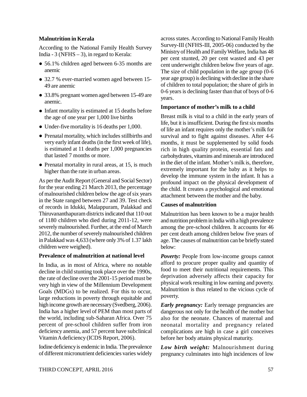#### **Malnutrition in Kerala**

According to the National Family Health Survey India - 3 (NFHS  $-$  3), in regard to Kerala:

- 56.1% children aged between 6-35 months are anemic
- 32.7 % ever-married women aged between 15-49 are anemic
- 33.8% pregnant women aged between 15-49 are anemic.
- Infant mortality is estimated at 15 deaths before the age of one year per 1,000 live births
- Under-five mortality is 16 deaths per 1,000.
- Prenatal mortality, which includes stillbirths and very early infant deaths (in the first week of life), is estimated at 11 deaths per 1,000 pregnancies that lasted 7 months or more.
- Prenatal mortality in rural areas, at 15, is much higher than the rate in urban areas.

As per the Audit Report (General and Social Sector) for the year ending 21 March 2013, the percentage of malnourished children below the age of six years in the State ranged between 27 and 39. Test check of records in Idukki, Malappuram, Palakkad and Thiruvananthapuram districts indicated that 110 out of 1180 children who died during 2011-12, were severely malnourished. Further, at the end of March 2012, the number of severely malnourished children in Palakkad was 4,633 (where only 3% of 1.37 lakh children were weighed).

#### **Prevalence of malnutrition at national level**

In India, as in most of Africa, where no notable decline in child stunting took place over the 1990s, the rate of decline over the 2001-15 period must be very high in view of the Millennium Development Goals (MDGs) to be realized. For this to occur, large reductions in poverty through equitable and high income growth are necessary (Svedberg, 2006). India has a higher level of PEM than most parts of the world, including sub-Saharan Africa. Over 75 percent of pre-school children suffer from iron deficiency anemia, and 57 percent have subclinical Vitamin A deficiency (ICDS Report, 2006).

Iodine deficiency is endemic in India. The prevalence of different micronutrient deficiencies varies widely across states. According to National Family Health Survey-III (NFHS-III, 2005-06) conducted by the Ministry of Health and Family Welfare, India has 48 per cent stunted, 20 per cent wasted and 43 per cent underweight children below five years of age. The size of child population in the age group (0-6 year age group) is declining with decline in the share of children to total population; the share of girls in 0-6 years is declining faster than that of boys of 0-6 years.

#### **Importance of mother's milk to a child**

Breast milk is vital to a child in the early years of life, but it is insufficient. During the first six months of life an infant requires only the mother's milk for survival and to fight against diseases. After 4-6 months, it must be supplemented by solid foods rich in high quality protein, essential fats and carbohydrates, vitamins and minerals are introduced in the diet of the infant. Mother's milk is, therefore, extremely important for the baby as it helps to develop the immune system in the infant. It has a profound impact on the physical development of the child. It creates a psychological and emotional attachment between the mother and the baby.

#### **Causes of malnutrition**

Malnutrition has been known to be a major health and nutrition problem in India with a high prevalence among the pre-school children. It accounts for 46 per cent death among children below five years of age. The causes of malnutrition can be briefly stated below:

*Poverty:* People from low-income groups cannot afford to procure proper quality and quantity of food to meet their nutritional requirements. This deprivation adversely affects their capacity for physical work resulting in low earning and poverty. Malnutrition is thus related to the vicious cycle of poverty.

*Early pregnancy:* Early teenage pregnancies are dangerous not only for the health of the mother but also for the neonate. Chances of maternal and neonatal mortality and pregnancy related complications are high in case a girl conceives before her body attains physical maturity.

*Low birth weight:* Malnourishment during pregnancy culminates into high incidences of low